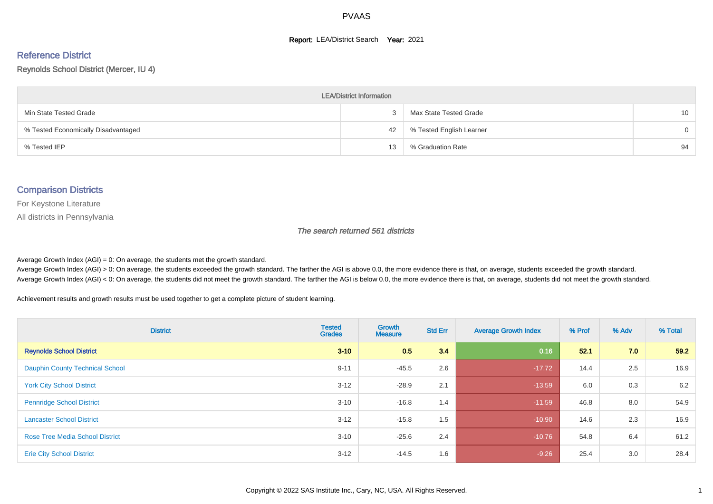#### **Report: LEA/District Search Year: 2021**

# Reference District

#### Reynolds School District (Mercer, IU 4)

| <b>LEA/District Information</b>     |    |                          |          |  |  |  |  |  |  |  |
|-------------------------------------|----|--------------------------|----------|--|--|--|--|--|--|--|
| Min State Tested Grade              |    | Max State Tested Grade   | 10       |  |  |  |  |  |  |  |
| % Tested Economically Disadvantaged | 42 | % Tested English Learner | $\Omega$ |  |  |  |  |  |  |  |
| % Tested IEP                        | 13 | % Graduation Rate        | 94       |  |  |  |  |  |  |  |

#### Comparison Districts

For Keystone Literature

All districts in Pennsylvania

The search returned 561 districts

Average Growth Index  $(AGI) = 0$ : On average, the students met the growth standard.

Average Growth Index (AGI) > 0: On average, the students exceeded the growth standard. The farther the AGI is above 0.0, the more evidence there is that, on average, students exceeded the growth standard. Average Growth Index (AGI) < 0: On average, the students did not meet the growth standard. The farther the AGI is below 0.0, the more evidence there is that, on average, students did not meet the growth standard.

Achievement results and growth results must be used together to get a complete picture of student learning.

| <b>District</b>                        | <b>Tested</b><br><b>Grades</b> | Growth<br><b>Measure</b> | <b>Std Err</b> | <b>Average Growth Index</b> | % Prof | % Adv | % Total |
|----------------------------------------|--------------------------------|--------------------------|----------------|-----------------------------|--------|-------|---------|
| <b>Reynolds School District</b>        | $3 - 10$                       | 0.5                      | 3.4            | 0.16                        | 52.1   | 7.0   | 59.2    |
| <b>Dauphin County Technical School</b> | $9 - 11$                       | $-45.5$                  | 2.6            | $-17.72$                    | 14.4   | 2.5   | 16.9    |
| <b>York City School District</b>       | $3 - 12$                       | $-28.9$                  | 2.1            | $-13.59$                    | 6.0    | 0.3   | 6.2     |
| <b>Pennridge School District</b>       | $3 - 10$                       | $-16.8$                  | 1.4            | $-11.59$                    | 46.8   | 8.0   | 54.9    |
| <b>Lancaster School District</b>       | $3 - 12$                       | $-15.8$                  | 1.5            | $-10.90$                    | 14.6   | 2.3   | 16.9    |
| <b>Rose Tree Media School District</b> | $3 - 10$                       | $-25.6$                  | 2.4            | $-10.76$                    | 54.8   | 6.4   | 61.2    |
| <b>Erie City School District</b>       | $3 - 12$                       | $-14.5$                  | 1.6            | $-9.26$                     | 25.4   | 3.0   | 28.4    |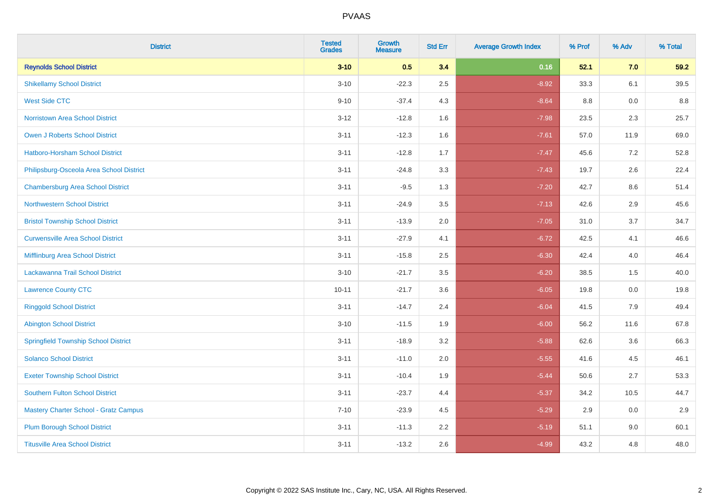| <b>District</b>                              | <b>Tested</b><br><b>Grades</b> | <b>Growth</b><br><b>Measure</b> | <b>Std Err</b> | <b>Average Growth Index</b> | % Prof | % Adv | % Total |
|----------------------------------------------|--------------------------------|---------------------------------|----------------|-----------------------------|--------|-------|---------|
| <b>Reynolds School District</b>              | $3 - 10$                       | 0.5                             | 3.4            | 0.16                        | 52.1   | 7.0   | 59.2    |
| <b>Shikellamy School District</b>            | $3 - 10$                       | $-22.3$                         | 2.5            | $-8.92$                     | 33.3   | 6.1   | 39.5    |
| <b>West Side CTC</b>                         | $9 - 10$                       | $-37.4$                         | 4.3            | $-8.64$                     | 8.8    | 0.0   | 8.8     |
| <b>Norristown Area School District</b>       | $3 - 12$                       | $-12.8$                         | 1.6            | $-7.98$                     | 23.5   | 2.3   | 25.7    |
| Owen J Roberts School District               | $3 - 11$                       | $-12.3$                         | 1.6            | $-7.61$                     | 57.0   | 11.9  | 69.0    |
| <b>Hatboro-Horsham School District</b>       | $3 - 11$                       | $-12.8$                         | 1.7            | $-7.47$                     | 45.6   | 7.2   | 52.8    |
| Philipsburg-Osceola Area School District     | $3 - 11$                       | $-24.8$                         | 3.3            | $-7.43$                     | 19.7   | 2.6   | 22.4    |
| <b>Chambersburg Area School District</b>     | $3 - 11$                       | $-9.5$                          | 1.3            | $-7.20$                     | 42.7   | 8.6   | 51.4    |
| <b>Northwestern School District</b>          | $3 - 11$                       | $-24.9$                         | 3.5            | $-7.13$                     | 42.6   | 2.9   | 45.6    |
| <b>Bristol Township School District</b>      | $3 - 11$                       | $-13.9$                         | 2.0            | $-7.05$                     | 31.0   | 3.7   | 34.7    |
| <b>Curwensville Area School District</b>     | $3 - 11$                       | $-27.9$                         | 4.1            | $-6.72$                     | 42.5   | 4.1   | 46.6    |
| Mifflinburg Area School District             | $3 - 11$                       | $-15.8$                         | 2.5            | $-6.30$                     | 42.4   | 4.0   | 46.4    |
| Lackawanna Trail School District             | $3 - 10$                       | $-21.7$                         | 3.5            | $-6.20$                     | 38.5   | 1.5   | 40.0    |
| <b>Lawrence County CTC</b>                   | $10 - 11$                      | $-21.7$                         | 3.6            | $-6.05$                     | 19.8   | 0.0   | 19.8    |
| <b>Ringgold School District</b>              | $3 - 11$                       | $-14.7$                         | 2.4            | $-6.04$                     | 41.5   | 7.9   | 49.4    |
| <b>Abington School District</b>              | $3 - 10$                       | $-11.5$                         | 1.9            | $-6.00$                     | 56.2   | 11.6  | 67.8    |
| <b>Springfield Township School District</b>  | $3 - 11$                       | $-18.9$                         | 3.2            | $-5.88$                     | 62.6   | 3.6   | 66.3    |
| <b>Solanco School District</b>               | $3 - 11$                       | $-11.0$                         | 2.0            | $-5.55$                     | 41.6   | 4.5   | 46.1    |
| <b>Exeter Township School District</b>       | $3 - 11$                       | $-10.4$                         | 1.9            | $-5.44$                     | 50.6   | 2.7   | 53.3    |
| <b>Southern Fulton School District</b>       | $3 - 11$                       | $-23.7$                         | 4.4            | $-5.37$                     | 34.2   | 10.5  | 44.7    |
| <b>Mastery Charter School - Gratz Campus</b> | $7 - 10$                       | $-23.9$                         | 4.5            | $-5.29$                     | 2.9    | 0.0   | 2.9     |
| <b>Plum Borough School District</b>          | $3 - 11$                       | $-11.3$                         | 2.2            | $-5.19$                     | 51.1   | 9.0   | 60.1    |
| <b>Titusville Area School District</b>       | $3 - 11$                       | $-13.2$                         | 2.6            | $-4.99$                     | 43.2   | 4.8   | 48.0    |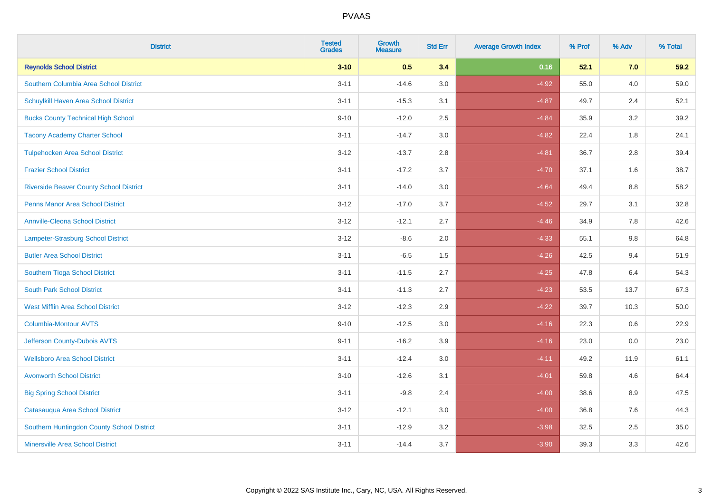| <b>District</b>                                | <b>Tested</b><br><b>Grades</b> | <b>Growth</b><br><b>Measure</b> | <b>Std Err</b> | <b>Average Growth Index</b> | % Prof | % Adv   | % Total |
|------------------------------------------------|--------------------------------|---------------------------------|----------------|-----------------------------|--------|---------|---------|
| <b>Reynolds School District</b>                | $3 - 10$                       | 0.5                             | 3.4            | 0.16                        | 52.1   | 7.0     | 59.2    |
| Southern Columbia Area School District         | $3 - 11$                       | $-14.6$                         | 3.0            | $-4.92$                     | 55.0   | 4.0     | 59.0    |
| Schuylkill Haven Area School District          | $3 - 11$                       | $-15.3$                         | 3.1            | $-4.87$                     | 49.7   | 2.4     | 52.1    |
| <b>Bucks County Technical High School</b>      | $9 - 10$                       | $-12.0$                         | 2.5            | $-4.84$                     | 35.9   | $3.2\,$ | 39.2    |
| <b>Tacony Academy Charter School</b>           | $3 - 11$                       | $-14.7$                         | 3.0            | $-4.82$                     | 22.4   | 1.8     | 24.1    |
| <b>Tulpehocken Area School District</b>        | $3 - 12$                       | $-13.7$                         | 2.8            | $-4.81$                     | 36.7   | 2.8     | 39.4    |
| <b>Frazier School District</b>                 | $3 - 11$                       | $-17.2$                         | 3.7            | $-4.70$                     | 37.1   | 1.6     | 38.7    |
| <b>Riverside Beaver County School District</b> | $3 - 11$                       | $-14.0$                         | 3.0            | $-4.64$                     | 49.4   | 8.8     | 58.2    |
| <b>Penns Manor Area School District</b>        | $3 - 12$                       | $-17.0$                         | 3.7            | $-4.52$                     | 29.7   | 3.1     | 32.8    |
| <b>Annville-Cleona School District</b>         | $3 - 12$                       | $-12.1$                         | 2.7            | $-4.46$                     | 34.9   | 7.8     | 42.6    |
| Lampeter-Strasburg School District             | $3 - 12$                       | $-8.6$                          | 2.0            | $-4.33$                     | 55.1   | 9.8     | 64.8    |
| <b>Butler Area School District</b>             | $3 - 11$                       | $-6.5$                          | 1.5            | $-4.26$                     | 42.5   | 9.4     | 51.9    |
| Southern Tioga School District                 | $3 - 11$                       | $-11.5$                         | 2.7            | $-4.25$                     | 47.8   | 6.4     | 54.3    |
| <b>South Park School District</b>              | $3 - 11$                       | $-11.3$                         | 2.7            | $-4.23$                     | 53.5   | 13.7    | 67.3    |
| <b>West Mifflin Area School District</b>       | $3 - 12$                       | $-12.3$                         | 2.9            | $-4.22$                     | 39.7   | 10.3    | 50.0    |
| <b>Columbia-Montour AVTS</b>                   | $9 - 10$                       | $-12.5$                         | 3.0            | $-4.16$                     | 22.3   | 0.6     | 22.9    |
| Jefferson County-Dubois AVTS                   | $9 - 11$                       | $-16.2$                         | 3.9            | $-4.16$                     | 23.0   | 0.0     | 23.0    |
| <b>Wellsboro Area School District</b>          | $3 - 11$                       | $-12.4$                         | 3.0            | $-4.11$                     | 49.2   | 11.9    | 61.1    |
| <b>Avonworth School District</b>               | $3 - 10$                       | $-12.6$                         | 3.1            | $-4.01$                     | 59.8   | 4.6     | 64.4    |
| <b>Big Spring School District</b>              | $3 - 11$                       | $-9.8$                          | 2.4            | $-4.00$                     | 38.6   | 8.9     | 47.5    |
| Catasauqua Area School District                | $3-12$                         | $-12.1$                         | 3.0            | $-4.00$                     | 36.8   | 7.6     | 44.3    |
| Southern Huntingdon County School District     | $3 - 11$                       | $-12.9$                         | 3.2            | $-3.98$                     | 32.5   | 2.5     | 35.0    |
| <b>Minersville Area School District</b>        | $3 - 11$                       | $-14.4$                         | 3.7            | $-3.90$                     | 39.3   | 3.3     | 42.6    |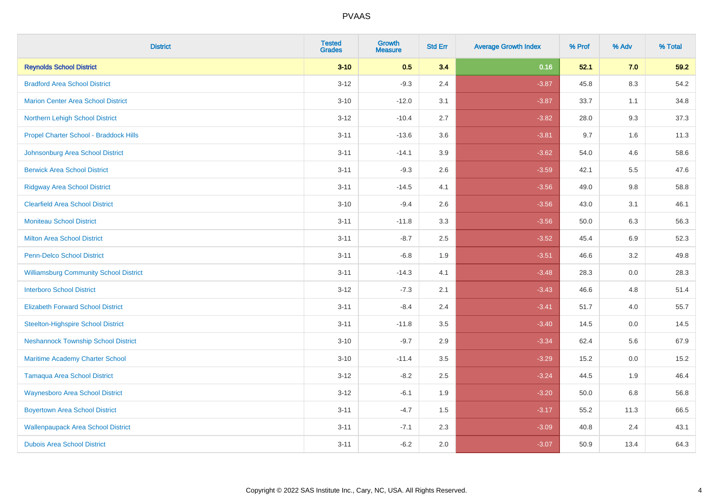| <b>District</b>                               | <b>Tested</b><br><b>Grades</b> | <b>Growth</b><br><b>Measure</b> | <b>Std Err</b> | <b>Average Growth Index</b> | % Prof | % Adv   | % Total |
|-----------------------------------------------|--------------------------------|---------------------------------|----------------|-----------------------------|--------|---------|---------|
| <b>Reynolds School District</b>               | $3 - 10$                       | 0.5                             | 3.4            | 0.16                        | 52.1   | 7.0     | 59.2    |
| <b>Bradford Area School District</b>          | $3 - 12$                       | $-9.3$                          | 2.4            | $-3.87$                     | 45.8   | 8.3     | 54.2    |
| <b>Marion Center Area School District</b>     | $3 - 10$                       | $-12.0$                         | 3.1            | $-3.87$                     | 33.7   | 1.1     | 34.8    |
| Northern Lehigh School District               | $3 - 12$                       | $-10.4$                         | 2.7            | $-3.82$                     | 28.0   | 9.3     | 37.3    |
| Propel Charter School - Braddock Hills        | $3 - 11$                       | $-13.6$                         | 3.6            | $-3.81$                     | 9.7    | 1.6     | 11.3    |
| Johnsonburg Area School District              | $3 - 11$                       | $-14.1$                         | 3.9            | $-3.62$                     | 54.0   | 4.6     | 58.6    |
| <b>Berwick Area School District</b>           | $3 - 11$                       | $-9.3$                          | 2.6            | $-3.59$                     | 42.1   | 5.5     | 47.6    |
| <b>Ridgway Area School District</b>           | $3 - 11$                       | $-14.5$                         | 4.1            | $-3.56$                     | 49.0   | 9.8     | 58.8    |
| <b>Clearfield Area School District</b>        | $3 - 10$                       | $-9.4$                          | 2.6            | $-3.56$                     | 43.0   | 3.1     | 46.1    |
| <b>Moniteau School District</b>               | $3 - 11$                       | $-11.8$                         | 3.3            | $-3.56$                     | 50.0   | 6.3     | 56.3    |
| <b>Milton Area School District</b>            | $3 - 11$                       | $-8.7$                          | 2.5            | $-3.52$                     | 45.4   | 6.9     | 52.3    |
| <b>Penn-Delco School District</b>             | $3 - 11$                       | $-6.8$                          | 1.9            | $-3.51$                     | 46.6   | 3.2     | 49.8    |
| <b>Williamsburg Community School District</b> | $3 - 11$                       | $-14.3$                         | 4.1            | $-3.48$                     | 28.3   | $0.0\,$ | 28.3    |
| <b>Interboro School District</b>              | $3 - 12$                       | $-7.3$                          | 2.1            | $-3.43$                     | 46.6   | 4.8     | 51.4    |
| <b>Elizabeth Forward School District</b>      | $3 - 11$                       | $-8.4$                          | 2.4            | $-3.41$                     | 51.7   | 4.0     | 55.7    |
| <b>Steelton-Highspire School District</b>     | $3 - 11$                       | $-11.8$                         | 3.5            | $-3.40$                     | 14.5   | $0.0\,$ | 14.5    |
| <b>Neshannock Township School District</b>    | $3 - 10$                       | $-9.7$                          | 2.9            | $-3.34$                     | 62.4   | 5.6     | 67.9    |
| <b>Maritime Academy Charter School</b>        | $3 - 10$                       | $-11.4$                         | 3.5            | $-3.29$                     | 15.2   | 0.0     | 15.2    |
| <b>Tamaqua Area School District</b>           | $3 - 12$                       | $-8.2$                          | 2.5            | $-3.24$                     | 44.5   | 1.9     | 46.4    |
| <b>Waynesboro Area School District</b>        | $3 - 12$                       | $-6.1$                          | 1.9            | $-3.20$                     | 50.0   | 6.8     | 56.8    |
| <b>Boyertown Area School District</b>         | $3 - 11$                       | $-4.7$                          | 1.5            | $-3.17$                     | 55.2   | 11.3    | 66.5    |
| <b>Wallenpaupack Area School District</b>     | $3 - 11$                       | $-7.1$                          | 2.3            | $-3.09$                     | 40.8   | 2.4     | 43.1    |
| <b>Dubois Area School District</b>            | $3 - 11$                       | $-6.2$                          | 2.0            | $-3.07$                     | 50.9   | 13.4    | 64.3    |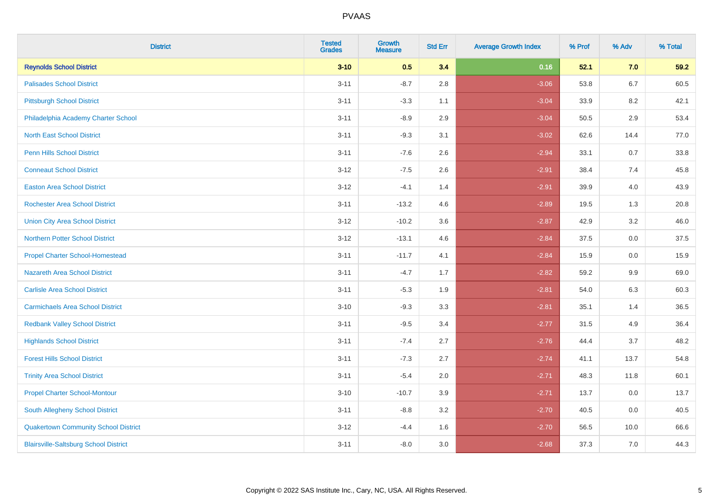| <b>District</b>                              | <b>Tested</b><br><b>Grades</b> | <b>Growth</b><br><b>Measure</b> | <b>Std Err</b> | <b>Average Growth Index</b> | % Prof | % Adv   | % Total |
|----------------------------------------------|--------------------------------|---------------------------------|----------------|-----------------------------|--------|---------|---------|
| <b>Reynolds School District</b>              | $3 - 10$                       | 0.5                             | 3.4            | 0.16                        | 52.1   | 7.0     | 59.2    |
| <b>Palisades School District</b>             | $3 - 11$                       | $-8.7$                          | 2.8            | $-3.06$                     | 53.8   | $6.7\,$ | 60.5    |
| <b>Pittsburgh School District</b>            | $3 - 11$                       | $-3.3$                          | 1.1            | $-3.04$                     | 33.9   | 8.2     | 42.1    |
| Philadelphia Academy Charter School          | $3 - 11$                       | $-8.9$                          | 2.9            | $-3.04$                     | 50.5   | 2.9     | 53.4    |
| <b>North East School District</b>            | $3 - 11$                       | $-9.3$                          | 3.1            | $-3.02$                     | 62.6   | 14.4    | 77.0    |
| <b>Penn Hills School District</b>            | $3 - 11$                       | $-7.6$                          | 2.6            | $-2.94$                     | 33.1   | 0.7     | 33.8    |
| <b>Conneaut School District</b>              | $3 - 12$                       | $-7.5$                          | 2.6            | $-2.91$                     | 38.4   | 7.4     | 45.8    |
| <b>Easton Area School District</b>           | $3-12$                         | $-4.1$                          | 1.4            | $-2.91$                     | 39.9   | 4.0     | 43.9    |
| <b>Rochester Area School District</b>        | $3 - 11$                       | $-13.2$                         | 4.6            | $-2.89$                     | 19.5   | 1.3     | 20.8    |
| <b>Union City Area School District</b>       | $3-12$                         | $-10.2$                         | 3.6            | $-2.87$                     | 42.9   | 3.2     | 46.0    |
| <b>Northern Potter School District</b>       | $3-12$                         | $-13.1$                         | 4.6            | $-2.84$                     | 37.5   | 0.0     | 37.5    |
| <b>Propel Charter School-Homestead</b>       | $3 - 11$                       | $-11.7$                         | 4.1            | $-2.84$                     | 15.9   | 0.0     | 15.9    |
| Nazareth Area School District                | $3 - 11$                       | $-4.7$                          | 1.7            | $-2.82$                     | 59.2   | 9.9     | 69.0    |
| <b>Carlisle Area School District</b>         | $3 - 11$                       | $-5.3$                          | 1.9            | $-2.81$                     | 54.0   | 6.3     | 60.3    |
| <b>Carmichaels Area School District</b>      | $3 - 10$                       | $-9.3$                          | 3.3            | $-2.81$                     | 35.1   | 1.4     | 36.5    |
| <b>Redbank Valley School District</b>        | $3 - 11$                       | $-9.5$                          | 3.4            | $-2.77$                     | 31.5   | 4.9     | 36.4    |
| <b>Highlands School District</b>             | $3 - 11$                       | $-7.4$                          | 2.7            | $-2.76$                     | 44.4   | 3.7     | 48.2    |
| <b>Forest Hills School District</b>          | $3 - 11$                       | $-7.3$                          | 2.7            | $-2.74$                     | 41.1   | 13.7    | 54.8    |
| <b>Trinity Area School District</b>          | $3 - 11$                       | $-5.4$                          | 2.0            | $-2.71$                     | 48.3   | 11.8    | 60.1    |
| <b>Propel Charter School-Montour</b>         | $3 - 10$                       | $-10.7$                         | 3.9            | $-2.71$                     | 13.7   | 0.0     | 13.7    |
| South Allegheny School District              | $3 - 11$                       | $-8.8$                          | 3.2            | $-2.70$                     | 40.5   | 0.0     | 40.5    |
| <b>Quakertown Community School District</b>  | $3-12$                         | $-4.4$                          | 1.6            | $-2.70$                     | 56.5   | 10.0    | 66.6    |
| <b>Blairsville-Saltsburg School District</b> | $3 - 11$                       | $-8.0$                          | 3.0            | $-2.68$                     | 37.3   | 7.0     | 44.3    |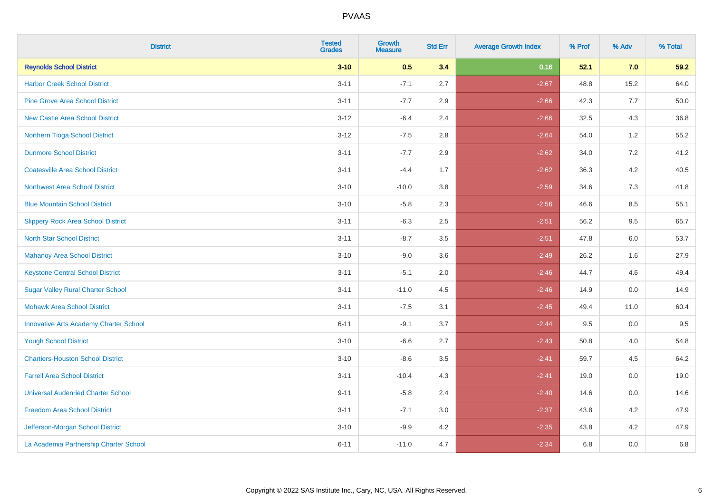| <b>District</b>                               | <b>Tested</b><br><b>Grades</b> | <b>Growth</b><br><b>Measure</b> | <b>Std Err</b> | <b>Average Growth Index</b> | % Prof | % Adv   | % Total |
|-----------------------------------------------|--------------------------------|---------------------------------|----------------|-----------------------------|--------|---------|---------|
| <b>Reynolds School District</b>               | $3 - 10$                       | 0.5                             | 3.4            | 0.16                        | 52.1   | 7.0     | 59.2    |
| <b>Harbor Creek School District</b>           | $3 - 11$                       | $-7.1$                          | 2.7            | $-2.67$                     | 48.8   | 15.2    | 64.0    |
| <b>Pine Grove Area School District</b>        | $3 - 11$                       | $-7.7$                          | 2.9            | $-2.66$                     | 42.3   | 7.7     | 50.0    |
| <b>New Castle Area School District</b>        | $3 - 12$                       | $-6.4$                          | 2.4            | $-2.66$                     | 32.5   | $4.3$   | 36.8    |
| Northern Tioga School District                | $3 - 12$                       | $-7.5$                          | 2.8            | $-2.64$                     | 54.0   | 1.2     | 55.2    |
| <b>Dunmore School District</b>                | $3 - 11$                       | $-7.7$                          | 2.9            | $-2.62$                     | 34.0   | 7.2     | 41.2    |
| <b>Coatesville Area School District</b>       | $3 - 11$                       | $-4.4$                          | 1.7            | $-2.62$                     | 36.3   | $4.2\,$ | 40.5    |
| <b>Northwest Area School District</b>         | $3 - 10$                       | $-10.0$                         | 3.8            | $-2.59$                     | 34.6   | 7.3     | 41.8    |
| <b>Blue Mountain School District</b>          | $3 - 10$                       | $-5.8$                          | 2.3            | $-2.56$                     | 46.6   | 8.5     | 55.1    |
| <b>Slippery Rock Area School District</b>     | $3 - 11$                       | $-6.3$                          | 2.5            | $-2.51$                     | 56.2   | $9.5\,$ | 65.7    |
| <b>North Star School District</b>             | $3 - 11$                       | $-8.7$                          | 3.5            | $-2.51$                     | 47.8   | 6.0     | 53.7    |
| Mahanoy Area School District                  | $3 - 10$                       | $-9.0$                          | 3.6            | $-2.49$                     | 26.2   | 1.6     | 27.9    |
| <b>Keystone Central School District</b>       | $3 - 11$                       | $-5.1$                          | 2.0            | $-2.46$                     | 44.7   | 4.6     | 49.4    |
| <b>Sugar Valley Rural Charter School</b>      | $3 - 11$                       | $-11.0$                         | 4.5            | $-2.46$                     | 14.9   | $0.0\,$ | 14.9    |
| <b>Mohawk Area School District</b>            | $3 - 11$                       | $-7.5$                          | 3.1            | $-2.45$                     | 49.4   | 11.0    | 60.4    |
| <b>Innovative Arts Academy Charter School</b> | $6 - 11$                       | $-9.1$                          | 3.7            | $-2.44$                     | 9.5    | 0.0     | 9.5     |
| <b>Yough School District</b>                  | $3 - 10$                       | $-6.6$                          | 2.7            | $-2.43$                     | 50.8   | 4.0     | 54.8    |
| <b>Chartiers-Houston School District</b>      | $3 - 10$                       | $-8.6$                          | 3.5            | $-2.41$                     | 59.7   | 4.5     | 64.2    |
| <b>Farrell Area School District</b>           | $3 - 11$                       | $-10.4$                         | 4.3            | $-2.41$                     | 19.0   | 0.0     | 19.0    |
| <b>Universal Audenried Charter School</b>     | $9 - 11$                       | $-5.8$                          | 2.4            | $-2.40$                     | 14.6   | 0.0     | 14.6    |
| <b>Freedom Area School District</b>           | $3 - 11$                       | $-7.1$                          | 3.0            | $-2.37$                     | 43.8   | 4.2     | 47.9    |
| Jefferson-Morgan School District              | $3 - 10$                       | $-9.9$                          | 4.2            | $-2.35$                     | 43.8   | 4.2     | 47.9    |
| La Academia Partnership Charter School        | $6 - 11$                       | $-11.0$                         | 4.7            | $-2.34$                     | 6.8    | 0.0     | 6.8     |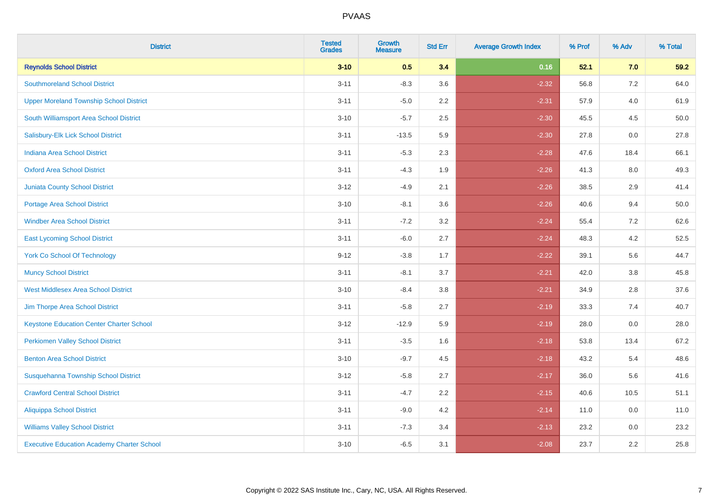| <b>District</b>                                   | <b>Tested</b><br><b>Grades</b> | <b>Growth</b><br><b>Measure</b> | <b>Std Err</b> | <b>Average Growth Index</b> | % Prof | % Adv   | % Total |
|---------------------------------------------------|--------------------------------|---------------------------------|----------------|-----------------------------|--------|---------|---------|
| <b>Reynolds School District</b>                   | $3 - 10$                       | 0.5                             | 3.4            | 0.16                        | 52.1   | 7.0     | 59.2    |
| <b>Southmoreland School District</b>              | $3 - 11$                       | $-8.3$                          | 3.6            | $-2.32$                     | 56.8   | 7.2     | 64.0    |
| <b>Upper Moreland Township School District</b>    | $3 - 11$                       | $-5.0$                          | 2.2            | $-2.31$                     | 57.9   | 4.0     | 61.9    |
| South Williamsport Area School District           | $3 - 10$                       | $-5.7$                          | 2.5            | $-2.30$                     | 45.5   | 4.5     | 50.0    |
| Salisbury-Elk Lick School District                | $3 - 11$                       | $-13.5$                         | 5.9            | $-2.30$                     | 27.8   | 0.0     | 27.8    |
| <b>Indiana Area School District</b>               | $3 - 11$                       | $-5.3$                          | 2.3            | $-2.28$                     | 47.6   | 18.4    | 66.1    |
| <b>Oxford Area School District</b>                | $3 - 11$                       | $-4.3$                          | 1.9            | $-2.26$                     | 41.3   | $8.0\,$ | 49.3    |
| <b>Juniata County School District</b>             | $3 - 12$                       | $-4.9$                          | 2.1            | $-2.26$                     | 38.5   | 2.9     | 41.4    |
| Portage Area School District                      | $3 - 10$                       | $-8.1$                          | 3.6            | $-2.26$                     | 40.6   | 9.4     | 50.0    |
| <b>Windber Area School District</b>               | $3 - 11$                       | $-7.2$                          | 3.2            | $-2.24$                     | 55.4   | 7.2     | 62.6    |
| <b>East Lycoming School District</b>              | $3 - 11$                       | $-6.0$                          | 2.7            | $-2.24$                     | 48.3   | 4.2     | 52.5    |
| <b>York Co School Of Technology</b>               | $9 - 12$                       | $-3.8$                          | 1.7            | $-2.22$                     | 39.1   | 5.6     | 44.7    |
| <b>Muncy School District</b>                      | $3 - 11$                       | $-8.1$                          | 3.7            | $-2.21$                     | 42.0   | 3.8     | 45.8    |
| <b>West Middlesex Area School District</b>        | $3 - 10$                       | $-8.4$                          | 3.8            | $-2.21$                     | 34.9   | 2.8     | 37.6    |
| Jim Thorpe Area School District                   | $3 - 11$                       | $-5.8$                          | 2.7            | $-2.19$                     | 33.3   | 7.4     | 40.7    |
| <b>Keystone Education Center Charter School</b>   | $3 - 12$                       | $-12.9$                         | 5.9            | $-2.19$                     | 28.0   | 0.0     | 28.0    |
| <b>Perkiomen Valley School District</b>           | $3 - 11$                       | $-3.5$                          | 1.6            | $-2.18$                     | 53.8   | 13.4    | 67.2    |
| <b>Benton Area School District</b>                | $3 - 10$                       | $-9.7$                          | 4.5            | $-2.18$                     | 43.2   | 5.4     | 48.6    |
| Susquehanna Township School District              | $3 - 12$                       | $-5.8$                          | 2.7            | $-2.17$                     | 36.0   | 5.6     | 41.6    |
| <b>Crawford Central School District</b>           | $3 - 11$                       | $-4.7$                          | 2.2            | $-2.15$                     | 40.6   | 10.5    | 51.1    |
| Aliquippa School District                         | $3 - 11$                       | $-9.0$                          | 4.2            | $-2.14$                     | 11.0   | 0.0     | 11.0    |
| <b>Williams Valley School District</b>            | $3 - 11$                       | $-7.3$                          | 3.4            | $-2.13$                     | 23.2   | 0.0     | 23.2    |
| <b>Executive Education Academy Charter School</b> | $3 - 10$                       | $-6.5$                          | 3.1            | $-2.08$                     | 23.7   | 2.2     | 25.8    |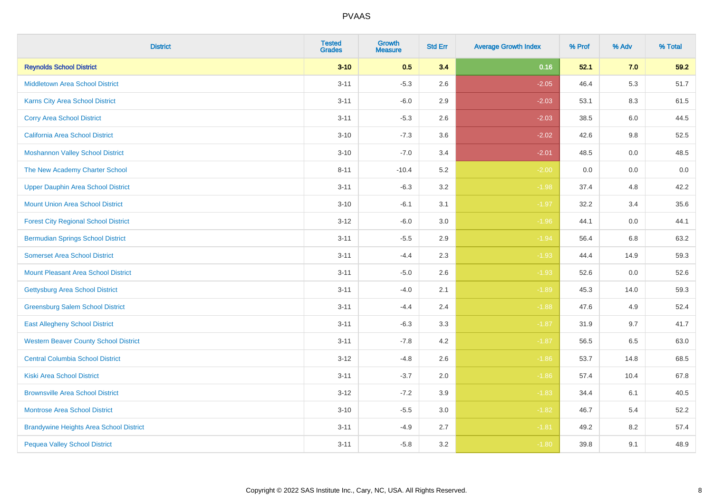| <b>District</b>                                | <b>Tested</b><br><b>Grades</b> | <b>Growth</b><br><b>Measure</b> | <b>Std Err</b> | <b>Average Growth Index</b> | % Prof | % Adv   | % Total |
|------------------------------------------------|--------------------------------|---------------------------------|----------------|-----------------------------|--------|---------|---------|
| <b>Reynolds School District</b>                | $3 - 10$                       | 0.5                             | 3.4            | 0.16                        | 52.1   | 7.0     | 59.2    |
| Middletown Area School District                | $3 - 11$                       | $-5.3$                          | 2.6            | $-2.05$                     | 46.4   | 5.3     | 51.7    |
| <b>Karns City Area School District</b>         | $3 - 11$                       | $-6.0$                          | 2.9            | $-2.03$                     | 53.1   | 8.3     | 61.5    |
| <b>Corry Area School District</b>              | $3 - 11$                       | $-5.3$                          | 2.6            | $-2.03$                     | 38.5   | 6.0     | 44.5    |
| <b>California Area School District</b>         | $3 - 10$                       | $-7.3$                          | 3.6            | $-2.02$                     | 42.6   | 9.8     | 52.5    |
| <b>Moshannon Valley School District</b>        | $3 - 10$                       | $-7.0$                          | 3.4            | $-2.01$                     | 48.5   | 0.0     | 48.5    |
| The New Academy Charter School                 | $8 - 11$                       | $-10.4$                         | 5.2            | $-2.00$                     | 0.0    | $0.0\,$ | $0.0\,$ |
| <b>Upper Dauphin Area School District</b>      | $3 - 11$                       | $-6.3$                          | 3.2            | $-1.98$                     | 37.4   | 4.8     | 42.2    |
| <b>Mount Union Area School District</b>        | $3 - 10$                       | $-6.1$                          | 3.1            | $-1.97$                     | 32.2   | 3.4     | 35.6    |
| <b>Forest City Regional School District</b>    | $3 - 12$                       | $-6.0$                          | 3.0            | $-1.96$                     | 44.1   | 0.0     | 44.1    |
| <b>Bermudian Springs School District</b>       | $3 - 11$                       | $-5.5$                          | 2.9            | $-1.94$                     | 56.4   | 6.8     | 63.2    |
| <b>Somerset Area School District</b>           | $3 - 11$                       | $-4.4$                          | 2.3            | $-1.93$                     | 44.4   | 14.9    | 59.3    |
| <b>Mount Pleasant Area School District</b>     | $3 - 11$                       | $-5.0$                          | 2.6            | $-1.93$                     | 52.6   | 0.0     | 52.6    |
| <b>Gettysburg Area School District</b>         | $3 - 11$                       | $-4.0$                          | 2.1            | $-1.89$                     | 45.3   | 14.0    | 59.3    |
| <b>Greensburg Salem School District</b>        | $3 - 11$                       | $-4.4$                          | 2.4            | $-1.88$                     | 47.6   | 4.9     | 52.4    |
| <b>East Allegheny School District</b>          | $3 - 11$                       | $-6.3$                          | 3.3            | $-1.87$                     | 31.9   | 9.7     | 41.7    |
| <b>Western Beaver County School District</b>   | $3 - 11$                       | $-7.8$                          | 4.2            | $-1.87$                     | 56.5   | 6.5     | 63.0    |
| <b>Central Columbia School District</b>        | $3 - 12$                       | $-4.8$                          | 2.6            | $-1.86$                     | 53.7   | 14.8    | 68.5    |
| <b>Kiski Area School District</b>              | $3 - 11$                       | $-3.7$                          | 2.0            | $-1.86$                     | 57.4   | 10.4    | 67.8    |
| <b>Brownsville Area School District</b>        | $3 - 12$                       | $-7.2$                          | 3.9            | $-1.83$                     | 34.4   | 6.1     | 40.5    |
| <b>Montrose Area School District</b>           | $3 - 10$                       | $-5.5$                          | 3.0            | $-1.82$                     | 46.7   | 5.4     | 52.2    |
| <b>Brandywine Heights Area School District</b> | $3 - 11$                       | $-4.9$                          | 2.7            | $-1.81$                     | 49.2   | 8.2     | 57.4    |
| <b>Pequea Valley School District</b>           | $3 - 11$                       | $-5.8$                          | 3.2            | $-1.80$                     | 39.8   | 9.1     | 48.9    |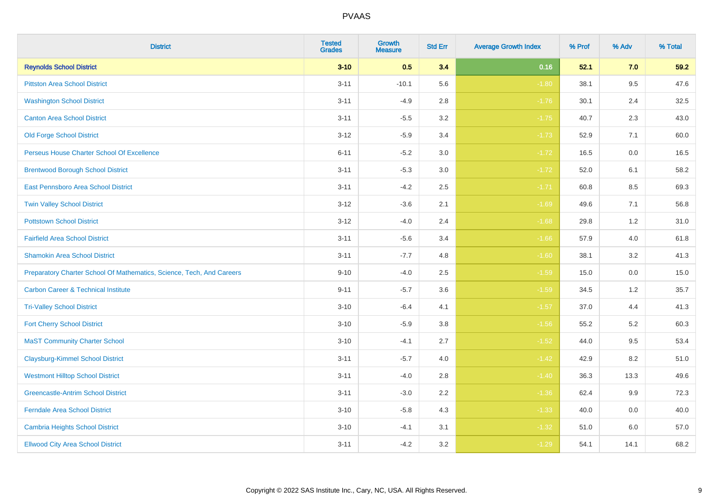| <b>District</b>                                                       | <b>Tested</b><br><b>Grades</b> | <b>Growth</b><br><b>Measure</b> | <b>Std Err</b> | <b>Average Growth Index</b> | % Prof | % Adv   | % Total |
|-----------------------------------------------------------------------|--------------------------------|---------------------------------|----------------|-----------------------------|--------|---------|---------|
| <b>Reynolds School District</b>                                       | $3 - 10$                       | 0.5                             | 3.4            | 0.16                        | 52.1   | 7.0     | 59.2    |
| <b>Pittston Area School District</b>                                  | $3 - 11$                       | $-10.1$                         | 5.6            | $-1.80$                     | 38.1   | 9.5     | 47.6    |
| <b>Washington School District</b>                                     | $3 - 11$                       | $-4.9$                          | 2.8            | $-1.76$                     | 30.1   | 2.4     | 32.5    |
| <b>Canton Area School District</b>                                    | $3 - 11$                       | $-5.5$                          | $3.2\,$        | $-1.75$                     | 40.7   | 2.3     | 43.0    |
| <b>Old Forge School District</b>                                      | $3 - 12$                       | $-5.9$                          | 3.4            | $-1.73$                     | 52.9   | 7.1     | 60.0    |
| Perseus House Charter School Of Excellence                            | $6 - 11$                       | $-5.2$                          | 3.0            | $-1.72$                     | 16.5   | 0.0     | 16.5    |
| <b>Brentwood Borough School District</b>                              | $3 - 11$                       | $-5.3$                          | 3.0            | $-1.72$                     | 52.0   | 6.1     | 58.2    |
| East Pennsboro Area School District                                   | $3 - 11$                       | $-4.2$                          | 2.5            | $-1.71$                     | 60.8   | 8.5     | 69.3    |
| <b>Twin Valley School District</b>                                    | $3 - 12$                       | $-3.6$                          | 2.1            | $-1.69$                     | 49.6   | 7.1     | 56.8    |
| <b>Pottstown School District</b>                                      | $3 - 12$                       | $-4.0$                          | 2.4            | $-1.68$                     | 29.8   | 1.2     | 31.0    |
| <b>Fairfield Area School District</b>                                 | $3 - 11$                       | $-5.6$                          | 3.4            | $-1.66$                     | 57.9   | 4.0     | 61.8    |
| <b>Shamokin Area School District</b>                                  | $3 - 11$                       | $-7.7$                          | 4.8            | $-1.60$                     | 38.1   | 3.2     | 41.3    |
| Preparatory Charter School Of Mathematics, Science, Tech, And Careers | $9 - 10$                       | $-4.0$                          | 2.5            | $-1.59$                     | 15.0   | $0.0\,$ | 15.0    |
| <b>Carbon Career &amp; Technical Institute</b>                        | $9 - 11$                       | $-5.7$                          | 3.6            | $-1.59$                     | 34.5   | 1.2     | 35.7    |
| <b>Tri-Valley School District</b>                                     | $3 - 10$                       | $-6.4$                          | 4.1            | $-1.57$                     | 37.0   | 4.4     | 41.3    |
| <b>Fort Cherry School District</b>                                    | $3 - 10$                       | $-5.9$                          | 3.8            | $-1.56$                     | 55.2   | 5.2     | 60.3    |
| <b>MaST Community Charter School</b>                                  | $3 - 10$                       | $-4.1$                          | 2.7            | $-1.52$                     | 44.0   | 9.5     | 53.4    |
| <b>Claysburg-Kimmel School District</b>                               | $3 - 11$                       | $-5.7$                          | 4.0            | $-1.42$                     | 42.9   | 8.2     | 51.0    |
| <b>Westmont Hilltop School District</b>                               | $3 - 11$                       | $-4.0$                          | 2.8            | $-1.40$                     | 36.3   | 13.3    | 49.6    |
| <b>Greencastle-Antrim School District</b>                             | $3 - 11$                       | $-3.0$                          | 2.2            | $-1.36$                     | 62.4   | 9.9     | 72.3    |
| <b>Ferndale Area School District</b>                                  | $3 - 10$                       | $-5.8$                          | 4.3            | $-1.33$                     | 40.0   | 0.0     | 40.0    |
| <b>Cambria Heights School District</b>                                | $3 - 10$                       | $-4.1$                          | 3.1            | $-1.32$                     | 51.0   | 6.0     | 57.0    |
| <b>Ellwood City Area School District</b>                              | $3 - 11$                       | $-4.2$                          | 3.2            | $-1.29$                     | 54.1   | 14.1    | 68.2    |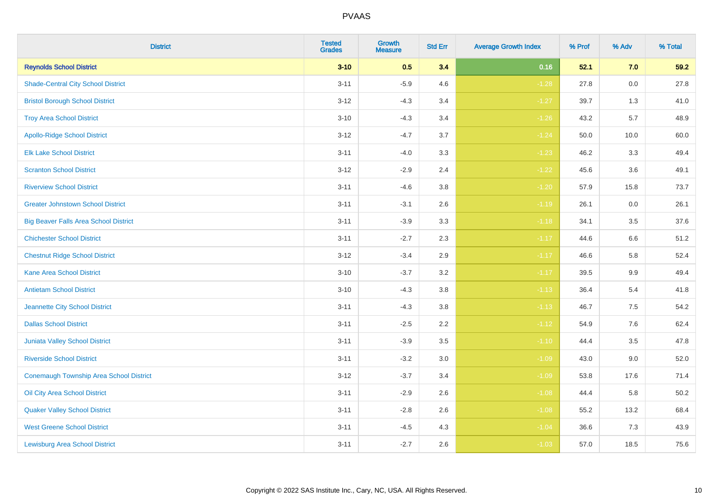| <b>District</b>                              | <b>Tested</b><br><b>Grades</b> | <b>Growth</b><br><b>Measure</b> | <b>Std Err</b> | <b>Average Growth Index</b> | % Prof | % Adv | % Total |
|----------------------------------------------|--------------------------------|---------------------------------|----------------|-----------------------------|--------|-------|---------|
| <b>Reynolds School District</b>              | $3 - 10$                       | 0.5                             | 3.4            | 0.16                        | 52.1   | 7.0   | 59.2    |
| <b>Shade-Central City School District</b>    | $3 - 11$                       | $-5.9$                          | 4.6            | $-1.28$                     | 27.8   | 0.0   | 27.8    |
| <b>Bristol Borough School District</b>       | $3 - 12$                       | $-4.3$                          | 3.4            | $-1.27$                     | 39.7   | 1.3   | 41.0    |
| <b>Troy Area School District</b>             | $3 - 10$                       | $-4.3$                          | 3.4            | $-1.26$                     | 43.2   | 5.7   | 48.9    |
| <b>Apollo-Ridge School District</b>          | $3 - 12$                       | $-4.7$                          | 3.7            | $-1.24$                     | 50.0   | 10.0  | 60.0    |
| <b>Elk Lake School District</b>              | $3 - 11$                       | $-4.0$                          | 3.3            | $-1.23$                     | 46.2   | 3.3   | 49.4    |
| <b>Scranton School District</b>              | $3 - 12$                       | $-2.9$                          | 2.4            | $-1.22$                     | 45.6   | 3.6   | 49.1    |
| <b>Riverview School District</b>             | $3 - 11$                       | $-4.6$                          | 3.8            | $-1.20$                     | 57.9   | 15.8  | 73.7    |
| <b>Greater Johnstown School District</b>     | $3 - 11$                       | $-3.1$                          | 2.6            | $-1.19$                     | 26.1   | 0.0   | 26.1    |
| <b>Big Beaver Falls Area School District</b> | $3 - 11$                       | $-3.9$                          | 3.3            | $-1.18$                     | 34.1   | 3.5   | 37.6    |
| <b>Chichester School District</b>            | $3 - 11$                       | $-2.7$                          | 2.3            | $-1.17$                     | 44.6   | 6.6   | 51.2    |
| <b>Chestnut Ridge School District</b>        | $3 - 12$                       | $-3.4$                          | 2.9            | $-1.17$                     | 46.6   | 5.8   | 52.4    |
| <b>Kane Area School District</b>             | $3 - 10$                       | $-3.7$                          | 3.2            | $-1.17$                     | 39.5   | 9.9   | 49.4    |
| <b>Antietam School District</b>              | $3 - 10$                       | $-4.3$                          | 3.8            | $-1.13$                     | 36.4   | 5.4   | 41.8    |
| Jeannette City School District               | $3 - 11$                       | $-4.3$                          | 3.8            | $-1.13$                     | 46.7   | 7.5   | 54.2    |
| <b>Dallas School District</b>                | $3 - 11$                       | $-2.5$                          | 2.2            | $-1.12$                     | 54.9   | 7.6   | 62.4    |
| Juniata Valley School District               | $3 - 11$                       | $-3.9$                          | 3.5            | $-1.10$                     | 44.4   | 3.5   | 47.8    |
| <b>Riverside School District</b>             | $3 - 11$                       | $-3.2$                          | 3.0            | $-1.09$                     | 43.0   | 9.0   | 52.0    |
| Conemaugh Township Area School District      | $3 - 12$                       | $-3.7$                          | 3.4            | $-1.09$                     | 53.8   | 17.6  | 71.4    |
| Oil City Area School District                | $3 - 11$                       | $-2.9$                          | 2.6            | $-1.08$                     | 44.4   | 5.8   | 50.2    |
| <b>Quaker Valley School District</b>         | $3 - 11$                       | $-2.8$                          | 2.6            | $-1.08$                     | 55.2   | 13.2  | 68.4    |
| <b>West Greene School District</b>           | $3 - 11$                       | $-4.5$                          | 4.3            | $-1.04$                     | 36.6   | 7.3   | 43.9    |
| <b>Lewisburg Area School District</b>        | $3 - 11$                       | $-2.7$                          | 2.6            | $-1.03$                     | 57.0   | 18.5  | 75.6    |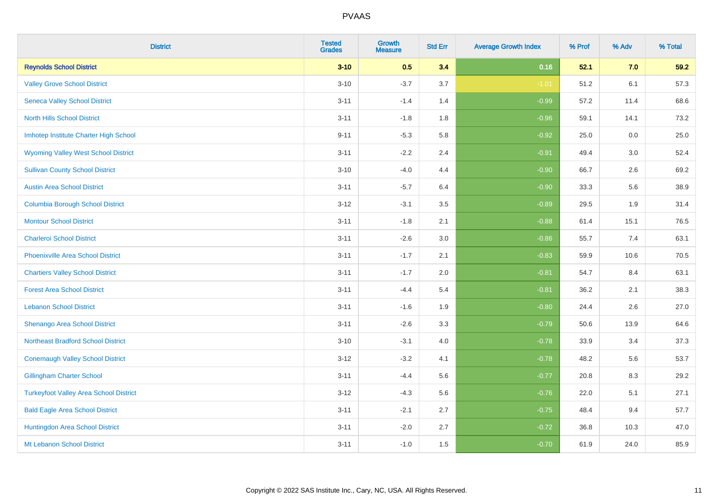| <b>District</b>                               | <b>Tested</b><br><b>Grades</b> | <b>Growth</b><br><b>Measure</b> | <b>Std Err</b> | <b>Average Growth Index</b> | % Prof | % Adv | % Total |
|-----------------------------------------------|--------------------------------|---------------------------------|----------------|-----------------------------|--------|-------|---------|
| <b>Reynolds School District</b>               | $3 - 10$                       | 0.5                             | 3.4            | 0.16                        | 52.1   | 7.0   | 59.2    |
| <b>Valley Grove School District</b>           | $3 - 10$                       | $-3.7$                          | 3.7            | $-1.01$                     | 51.2   | 6.1   | 57.3    |
| <b>Seneca Valley School District</b>          | $3 - 11$                       | $-1.4$                          | 1.4            | $-0.99$                     | 57.2   | 11.4  | 68.6    |
| <b>North Hills School District</b>            | $3 - 11$                       | $-1.8$                          | 1.8            | $-0.96$                     | 59.1   | 14.1  | 73.2    |
| Imhotep Institute Charter High School         | $9 - 11$                       | $-5.3$                          | 5.8            | $-0.92$                     | 25.0   | 0.0   | 25.0    |
| <b>Wyoming Valley West School District</b>    | $3 - 11$                       | $-2.2$                          | 2.4            | $-0.91$                     | 49.4   | 3.0   | 52.4    |
| <b>Sullivan County School District</b>        | $3 - 10$                       | $-4.0$                          | 4.4            | $-0.90$                     | 66.7   | 2.6   | 69.2    |
| <b>Austin Area School District</b>            | $3 - 11$                       | $-5.7$                          | 6.4            | $-0.90$                     | 33.3   | 5.6   | 38.9    |
| <b>Columbia Borough School District</b>       | $3 - 12$                       | $-3.1$                          | 3.5            | $-0.89$                     | 29.5   | 1.9   | 31.4    |
| <b>Montour School District</b>                | $3 - 11$                       | $-1.8$                          | 2.1            | $-0.88$                     | 61.4   | 15.1  | 76.5    |
| <b>Charleroi School District</b>              | $3 - 11$                       | $-2.6$                          | 3.0            | $-0.86$                     | 55.7   | 7.4   | 63.1    |
| <b>Phoenixville Area School District</b>      | $3 - 11$                       | $-1.7$                          | 2.1            | $-0.83$                     | 59.9   | 10.6  | 70.5    |
| <b>Chartiers Valley School District</b>       | $3 - 11$                       | $-1.7$                          | 2.0            | $-0.81$                     | 54.7   | 8.4   | 63.1    |
| <b>Forest Area School District</b>            | $3 - 11$                       | $-4.4$                          | 5.4            | $-0.81$                     | 36.2   | 2.1   | 38.3    |
| <b>Lebanon School District</b>                | $3 - 11$                       | $-1.6$                          | 1.9            | $-0.80$                     | 24.4   | 2.6   | 27.0    |
| Shenango Area School District                 | $3 - 11$                       | $-2.6$                          | 3.3            | $-0.79$                     | 50.6   | 13.9  | 64.6    |
| <b>Northeast Bradford School District</b>     | $3 - 10$                       | $-3.1$                          | 4.0            | $-0.78$                     | 33.9   | 3.4   | 37.3    |
| <b>Conemaugh Valley School District</b>       | $3 - 12$                       | $-3.2$                          | 4.1            | $-0.78$                     | 48.2   | 5.6   | 53.7    |
| <b>Gillingham Charter School</b>              | $3 - 11$                       | $-4.4$                          | 5.6            | $-0.77$                     | 20.8   | 8.3   | 29.2    |
| <b>Turkeyfoot Valley Area School District</b> | $3 - 12$                       | $-4.3$                          | 5.6            | $-0.76$                     | 22.0   | 5.1   | 27.1    |
| <b>Bald Eagle Area School District</b>        | $3 - 11$                       | $-2.1$                          | 2.7            | $-0.75$                     | 48.4   | 9.4   | 57.7    |
| Huntingdon Area School District               | $3 - 11$                       | $-2.0$                          | 2.7            | $-0.72$                     | 36.8   | 10.3  | 47.0    |
| Mt Lebanon School District                    | $3 - 11$                       | $-1.0$                          | 1.5            | $-0.70$                     | 61.9   | 24.0  | 85.9    |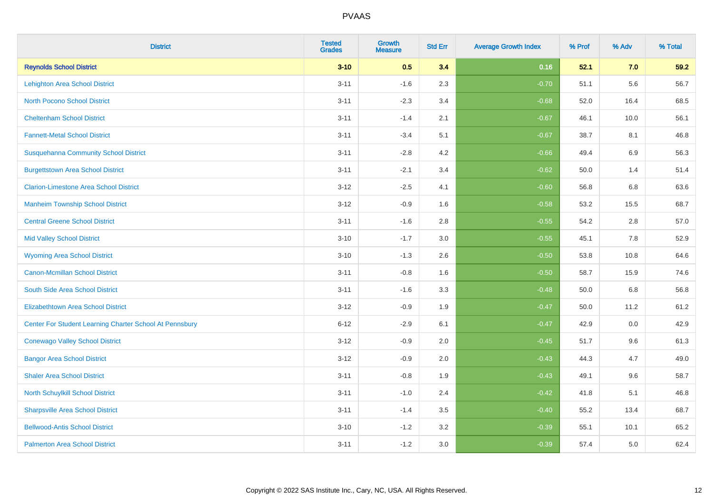| <b>District</b>                                         | <b>Tested</b><br><b>Grades</b> | <b>Growth</b><br><b>Measure</b> | <b>Std Err</b> | <b>Average Growth Index</b> | % Prof | % Adv | % Total |
|---------------------------------------------------------|--------------------------------|---------------------------------|----------------|-----------------------------|--------|-------|---------|
| <b>Reynolds School District</b>                         | $3 - 10$                       | 0.5                             | 3.4            | 0.16                        | 52.1   | 7.0   | 59.2    |
| <b>Lehighton Area School District</b>                   | $3 - 11$                       | $-1.6$                          | 2.3            | $-0.70$                     | 51.1   | 5.6   | 56.7    |
| <b>North Pocono School District</b>                     | $3 - 11$                       | $-2.3$                          | 3.4            | $-0.68$                     | 52.0   | 16.4  | 68.5    |
| <b>Cheltenham School District</b>                       | $3 - 11$                       | $-1.4$                          | 2.1            | $-0.67$                     | 46.1   | 10.0  | 56.1    |
| <b>Fannett-Metal School District</b>                    | $3 - 11$                       | $-3.4$                          | 5.1            | $-0.67$                     | 38.7   | 8.1   | 46.8    |
| <b>Susquehanna Community School District</b>            | $3 - 11$                       | $-2.8$                          | 4.2            | $-0.66$                     | 49.4   | 6.9   | 56.3    |
| <b>Burgettstown Area School District</b>                | $3 - 11$                       | $-2.1$                          | 3.4            | $-0.62$                     | 50.0   | 1.4   | 51.4    |
| <b>Clarion-Limestone Area School District</b>           | $3 - 12$                       | $-2.5$                          | 4.1            | $-0.60$                     | 56.8   | 6.8   | 63.6    |
| <b>Manheim Township School District</b>                 | $3 - 12$                       | $-0.9$                          | 1.6            | $-0.58$                     | 53.2   | 15.5  | 68.7    |
| <b>Central Greene School District</b>                   | $3 - 11$                       | $-1.6$                          | 2.8            | $-0.55$                     | 54.2   | 2.8   | 57.0    |
| <b>Mid Valley School District</b>                       | $3 - 10$                       | $-1.7$                          | 3.0            | $-0.55$                     | 45.1   | 7.8   | 52.9    |
| <b>Wyoming Area School District</b>                     | $3 - 10$                       | $-1.3$                          | 2.6            | $-0.50$                     | 53.8   | 10.8  | 64.6    |
| <b>Canon-Mcmillan School District</b>                   | $3 - 11$                       | $-0.8$                          | 1.6            | $-0.50$                     | 58.7   | 15.9  | 74.6    |
| South Side Area School District                         | $3 - 11$                       | $-1.6$                          | 3.3            | $-0.48$                     | 50.0   | 6.8   | 56.8    |
| <b>Elizabethtown Area School District</b>               | $3 - 12$                       | $-0.9$                          | 1.9            | $-0.47$                     | 50.0   | 11.2  | 61.2    |
| Center For Student Learning Charter School At Pennsbury | $6 - 12$                       | $-2.9$                          | 6.1            | $-0.47$                     | 42.9   | 0.0   | 42.9    |
| <b>Conewago Valley School District</b>                  | $3 - 12$                       | $-0.9$                          | 2.0            | $-0.45$                     | 51.7   | 9.6   | 61.3    |
| <b>Bangor Area School District</b>                      | $3 - 12$                       | $-0.9$                          | 2.0            | $-0.43$                     | 44.3   | 4.7   | 49.0    |
| <b>Shaler Area School District</b>                      | $3 - 11$                       | $-0.8$                          | 1.9            | $-0.43$                     | 49.1   | 9.6   | 58.7    |
| North Schuylkill School District                        | $3 - 11$                       | $-1.0$                          | 2.4            | $-0.42$                     | 41.8   | 5.1   | 46.8    |
| <b>Sharpsville Area School District</b>                 | $3 - 11$                       | $-1.4$                          | 3.5            | $-0.40$                     | 55.2   | 13.4  | 68.7    |
| <b>Bellwood-Antis School District</b>                   | $3 - 10$                       | $-1.2$                          | 3.2            | $-0.39$                     | 55.1   | 10.1  | 65.2    |
| <b>Palmerton Area School District</b>                   | $3 - 11$                       | $-1.2$                          | 3.0            | $-0.39$                     | 57.4   | 5.0   | 62.4    |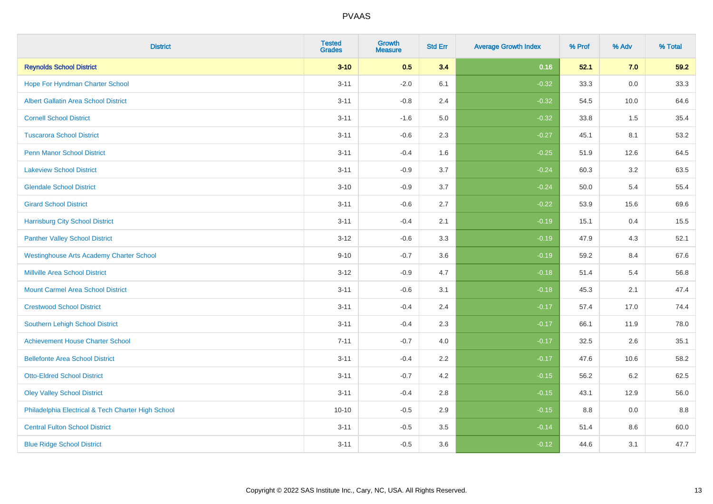| <b>District</b>                                    | <b>Tested</b><br><b>Grades</b> | <b>Growth</b><br><b>Measure</b> | <b>Std Err</b> | <b>Average Growth Index</b> | % Prof | % Adv   | % Total |
|----------------------------------------------------|--------------------------------|---------------------------------|----------------|-----------------------------|--------|---------|---------|
| <b>Reynolds School District</b>                    | $3 - 10$                       | 0.5                             | 3.4            | 0.16                        | 52.1   | 7.0     | 59.2    |
| Hope For Hyndman Charter School                    | $3 - 11$                       | $-2.0$                          | 6.1            | $-0.32$                     | 33.3   | 0.0     | 33.3    |
| <b>Albert Gallatin Area School District</b>        | $3 - 11$                       | $-0.8$                          | 2.4            | $-0.32$                     | 54.5   | 10.0    | 64.6    |
| <b>Cornell School District</b>                     | $3 - 11$                       | $-1.6$                          | 5.0            | $-0.32$                     | 33.8   | 1.5     | 35.4    |
| <b>Tuscarora School District</b>                   | $3 - 11$                       | $-0.6$                          | 2.3            | $-0.27$                     | 45.1   | 8.1     | 53.2    |
| <b>Penn Manor School District</b>                  | $3 - 11$                       | $-0.4$                          | 1.6            | $-0.25$                     | 51.9   | 12.6    | 64.5    |
| <b>Lakeview School District</b>                    | $3 - 11$                       | $-0.9$                          | 3.7            | $-0.24$                     | 60.3   | 3.2     | 63.5    |
| <b>Glendale School District</b>                    | $3 - 10$                       | $-0.9$                          | 3.7            | $-0.24$                     | 50.0   | 5.4     | 55.4    |
| <b>Girard School District</b>                      | $3 - 11$                       | $-0.6$                          | 2.7            | $-0.22$                     | 53.9   | 15.6    | 69.6    |
| <b>Harrisburg City School District</b>             | $3 - 11$                       | $-0.4$                          | 2.1            | $-0.19$                     | 15.1   | 0.4     | 15.5    |
| <b>Panther Valley School District</b>              | $3 - 12$                       | $-0.6$                          | 3.3            | $-0.19$                     | 47.9   | 4.3     | 52.1    |
| <b>Westinghouse Arts Academy Charter School</b>    | $9 - 10$                       | $-0.7$                          | 3.6            | $-0.19$                     | 59.2   | 8.4     | 67.6    |
| <b>Millville Area School District</b>              | $3 - 12$                       | $-0.9$                          | 4.7            | $-0.18$                     | 51.4   | 5.4     | 56.8    |
| <b>Mount Carmel Area School District</b>           | $3 - 11$                       | $-0.6$                          | 3.1            | $-0.18$                     | 45.3   | 2.1     | 47.4    |
| <b>Crestwood School District</b>                   | $3 - 11$                       | $-0.4$                          | 2.4            | $-0.17$                     | 57.4   | 17.0    | 74.4    |
| Southern Lehigh School District                    | $3 - 11$                       | $-0.4$                          | 2.3            | $-0.17$                     | 66.1   | 11.9    | 78.0    |
| <b>Achievement House Charter School</b>            | $7 - 11$                       | $-0.7$                          | 4.0            | $-0.17$                     | 32.5   | 2.6     | 35.1    |
| <b>Bellefonte Area School District</b>             | $3 - 11$                       | $-0.4$                          | 2.2            | $-0.17$                     | 47.6   | 10.6    | 58.2    |
| <b>Otto-Eldred School District</b>                 | $3 - 11$                       | $-0.7$                          | 4.2            | $-0.15$                     | 56.2   | $6.2\,$ | 62.5    |
| <b>Oley Valley School District</b>                 | $3 - 11$                       | $-0.4$                          | 2.8            | $-0.15$                     | 43.1   | 12.9    | 56.0    |
| Philadelphia Electrical & Tech Charter High School | $10 - 10$                      | $-0.5$                          | 2.9            | $-0.15$                     | 8.8    | 0.0     | 8.8     |
| <b>Central Fulton School District</b>              | $3 - 11$                       | $-0.5$                          | 3.5            | $-0.14$                     | 51.4   | 8.6     | 60.0    |
| <b>Blue Ridge School District</b>                  | $3 - 11$                       | $-0.5$                          | 3.6            | $-0.12$                     | 44.6   | 3.1     | 47.7    |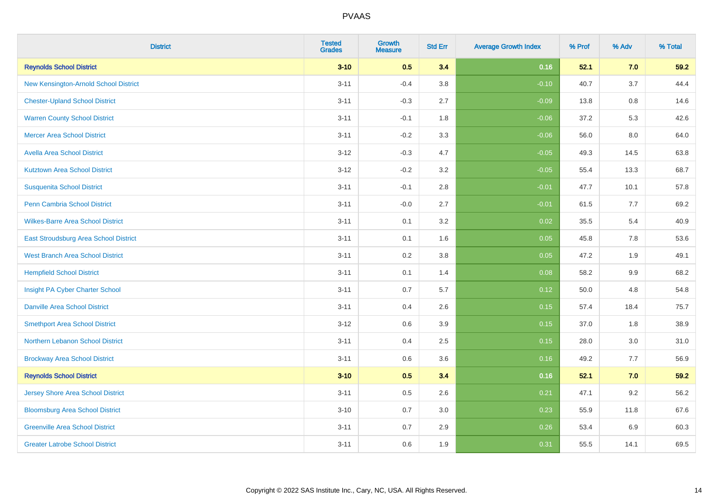| <b>District</b>                          | <b>Tested</b><br><b>Grades</b> | <b>Growth</b><br><b>Measure</b> | <b>Std Err</b> | <b>Average Growth Index</b> | % Prof | % Adv | % Total |
|------------------------------------------|--------------------------------|---------------------------------|----------------|-----------------------------|--------|-------|---------|
| <b>Reynolds School District</b>          | $3 - 10$                       | 0.5                             | 3.4            | 0.16                        | 52.1   | 7.0   | 59.2    |
| New Kensington-Arnold School District    | $3 - 11$                       | $-0.4$                          | 3.8            | $-0.10$                     | 40.7   | 3.7   | 44.4    |
| <b>Chester-Upland School District</b>    | $3 - 11$                       | $-0.3$                          | 2.7            | $-0.09$                     | 13.8   | 0.8   | 14.6    |
| <b>Warren County School District</b>     | $3 - 11$                       | $-0.1$                          | 1.8            | $-0.06$                     | 37.2   | 5.3   | 42.6    |
| <b>Mercer Area School District</b>       | $3 - 11$                       | $-0.2$                          | 3.3            | $-0.06$                     | 56.0   | 8.0   | 64.0    |
| <b>Avella Area School District</b>       | $3 - 12$                       | $-0.3$                          | 4.7            | $-0.05$                     | 49.3   | 14.5  | 63.8    |
| <b>Kutztown Area School District</b>     | $3 - 12$                       | $-0.2$                          | 3.2            | $-0.05$                     | 55.4   | 13.3  | 68.7    |
| <b>Susquenita School District</b>        | $3 - 11$                       | $-0.1$                          | 2.8            | $-0.01$                     | 47.7   | 10.1  | 57.8    |
| <b>Penn Cambria School District</b>      | $3 - 11$                       | $-0.0$                          | 2.7            | $-0.01$                     | 61.5   | 7.7   | 69.2    |
| <b>Wilkes-Barre Area School District</b> | $3 - 11$                       | 0.1                             | 3.2            | 0.02                        | 35.5   | 5.4   | 40.9    |
| East Stroudsburg Area School District    | $3 - 11$                       | 0.1                             | 1.6            | 0.05                        | 45.8   | 7.8   | 53.6    |
| <b>West Branch Area School District</b>  | $3 - 11$                       | 0.2                             | 3.8            | 0.05                        | 47.2   | 1.9   | 49.1    |
| <b>Hempfield School District</b>         | $3 - 11$                       | 0.1                             | 1.4            | 0.08                        | 58.2   | 9.9   | 68.2    |
| Insight PA Cyber Charter School          | $3 - 11$                       | 0.7                             | 5.7            | 0.12                        | 50.0   | 4.8   | 54.8    |
| <b>Danville Area School District</b>     | $3 - 11$                       | 0.4                             | 2.6            | 0.15                        | 57.4   | 18.4  | 75.7    |
| <b>Smethport Area School District</b>    | $3 - 12$                       | 0.6                             | 3.9            | 0.15                        | 37.0   | 1.8   | 38.9    |
| <b>Northern Lebanon School District</b>  | $3 - 11$                       | 0.4                             | 2.5            | 0.15                        | 28.0   | 3.0   | 31.0    |
| <b>Brockway Area School District</b>     | $3 - 11$                       | 0.6                             | 3.6            | 0.16                        | 49.2   | 7.7   | 56.9    |
| <b>Reynolds School District</b>          | $3 - 10$                       | 0.5                             | 3.4            | 0.16                        | 52.1   | 7.0   | 59.2    |
| <b>Jersey Shore Area School District</b> | $3 - 11$                       | 0.5                             | 2.6            | 0.21                        | 47.1   | 9.2   | 56.2    |
| <b>Bloomsburg Area School District</b>   | $3 - 10$                       | 0.7                             | 3.0            | 0.23                        | 55.9   | 11.8  | 67.6    |
| <b>Greenville Area School District</b>   | $3 - 11$                       | 0.7                             | 2.9            | 0.26                        | 53.4   | 6.9   | 60.3    |
| <b>Greater Latrobe School District</b>   | $3 - 11$                       | 0.6                             | 1.9            | 0.31                        | 55.5   | 14.1  | 69.5    |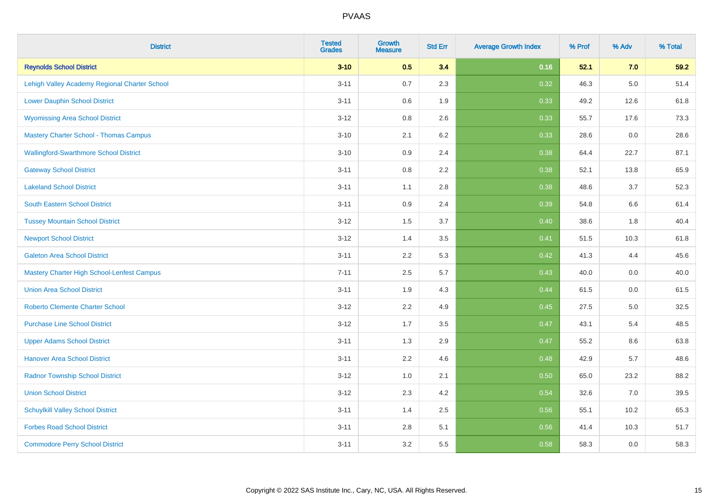| <b>District</b>                                   | <b>Tested</b><br><b>Grades</b> | <b>Growth</b><br><b>Measure</b> | <b>Std Err</b> | <b>Average Growth Index</b> | % Prof | % Adv   | % Total |
|---------------------------------------------------|--------------------------------|---------------------------------|----------------|-----------------------------|--------|---------|---------|
| <b>Reynolds School District</b>                   | $3 - 10$                       | 0.5                             | 3.4            | 0.16                        | 52.1   | 7.0     | 59.2    |
| Lehigh Valley Academy Regional Charter School     | $3 - 11$                       | 0.7                             | 2.3            | 0.32                        | 46.3   | $5.0\,$ | 51.4    |
| <b>Lower Dauphin School District</b>              | $3 - 11$                       | 0.6                             | 1.9            | 0.33                        | 49.2   | 12.6    | 61.8    |
| <b>Wyomissing Area School District</b>            | $3 - 12$                       | 0.8                             | 2.6            | 0.33                        | 55.7   | 17.6    | 73.3    |
| <b>Mastery Charter School - Thomas Campus</b>     | $3 - 10$                       | 2.1                             | 6.2            | 0.33                        | 28.6   | 0.0     | 28.6    |
| <b>Wallingford-Swarthmore School District</b>     | $3 - 10$                       | 0.9                             | 2.4            | 0.38                        | 64.4   | 22.7    | 87.1    |
| <b>Gateway School District</b>                    | $3 - 11$                       | 0.8                             | 2.2            | 0.38                        | 52.1   | 13.8    | 65.9    |
| <b>Lakeland School District</b>                   | $3 - 11$                       | 1.1                             | 2.8            | 0.38                        | 48.6   | 3.7     | 52.3    |
| <b>South Eastern School District</b>              | $3 - 11$                       | 0.9                             | 2.4            | 0.39                        | 54.8   | 6.6     | 61.4    |
| <b>Tussey Mountain School District</b>            | $3 - 12$                       | 1.5                             | 3.7            | 0.40                        | 38.6   | 1.8     | 40.4    |
| <b>Newport School District</b>                    | $3 - 12$                       | 1.4                             | 3.5            | 0.41                        | 51.5   | 10.3    | 61.8    |
| <b>Galeton Area School District</b>               | $3 - 11$                       | 2.2                             | 5.3            | 0.42                        | 41.3   | 4.4     | 45.6    |
| <b>Mastery Charter High School-Lenfest Campus</b> | $7 - 11$                       | 2.5                             | 5.7            | 0.43                        | 40.0   | $0.0\,$ | 40.0    |
| <b>Union Area School District</b>                 | $3 - 11$                       | 1.9                             | 4.3            | 0.44                        | 61.5   | 0.0     | 61.5    |
| <b>Roberto Clemente Charter School</b>            | $3 - 12$                       | 2.2                             | 4.9            | $\boxed{0.45}$              | 27.5   | $5.0\,$ | 32.5    |
| <b>Purchase Line School District</b>              | $3 - 12$                       | 1.7                             | 3.5            | 0.47                        | 43.1   | 5.4     | 48.5    |
| <b>Upper Adams School District</b>                | $3 - 11$                       | 1.3                             | 2.9            | 0.47                        | 55.2   | 8.6     | 63.8    |
| <b>Hanover Area School District</b>               | $3 - 11$                       | 2.2                             | 4.6            | 0.48                        | 42.9   | 5.7     | 48.6    |
| <b>Radnor Township School District</b>            | $3 - 12$                       | 1.0                             | 2.1            | 0.50                        | 65.0   | 23.2    | 88.2    |
| <b>Union School District</b>                      | $3 - 12$                       | 2.3                             | 4.2            | 0.54                        | 32.6   | 7.0     | 39.5    |
| <b>Schuylkill Valley School District</b>          | $3 - 11$                       | 1.4                             | 2.5            | 0.56                        | 55.1   | 10.2    | 65.3    |
| <b>Forbes Road School District</b>                | $3 - 11$                       | 2.8                             | 5.1            | 0.56                        | 41.4   | 10.3    | 51.7    |
| <b>Commodore Perry School District</b>            | $3 - 11$                       | 3.2                             | 5.5            | 0.58                        | 58.3   | 0.0     | 58.3    |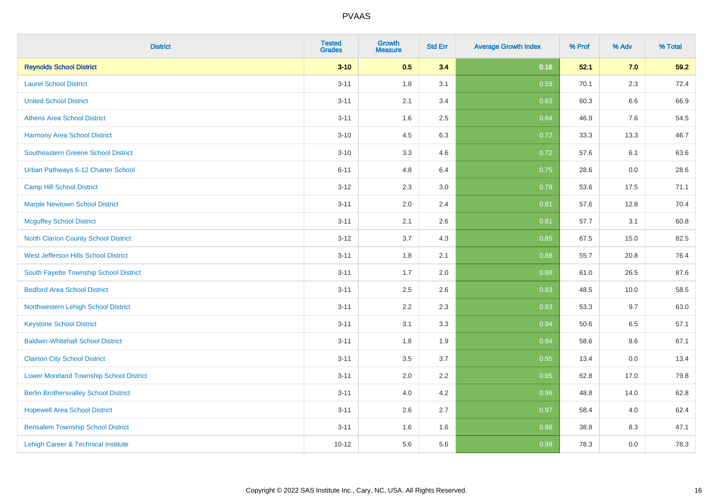| <b>District</b>                                | <b>Tested</b><br><b>Grades</b> | <b>Growth</b><br><b>Measure</b> | <b>Std Err</b> | <b>Average Growth Index</b> | % Prof | % Adv | % Total |
|------------------------------------------------|--------------------------------|---------------------------------|----------------|-----------------------------|--------|-------|---------|
| <b>Reynolds School District</b>                | $3 - 10$                       | 0.5                             | 3.4            | 0.16                        | 52.1   | 7.0   | 59.2    |
| <b>Laurel School District</b>                  | $3 - 11$                       | 1.8                             | 3.1            | 0.59                        | 70.1   | 2.3   | 72.4    |
| <b>United School District</b>                  | $3 - 11$                       | 2.1                             | 3.4            | 0.63                        | 60.3   | 6.6   | 66.9    |
| <b>Athens Area School District</b>             | $3 - 11$                       | 1.6                             | 2.5            | 0.64                        | 46.9   | 7.6   | 54.5    |
| <b>Harmony Area School District</b>            | $3 - 10$                       | 4.5                             | 6.3            | 0.72                        | 33.3   | 13.3  | 46.7    |
| <b>Southeastern Greene School District</b>     | $3 - 10$                       | 3.3                             | 4.6            | 0.72                        | 57.6   | 6.1   | 63.6    |
| Urban Pathways 6-12 Charter School             | $6 - 11$                       | 4.8                             | 6.4            | 0.75                        | 28.6   | 0.0   | 28.6    |
| <b>Camp Hill School District</b>               | $3 - 12$                       | 2.3                             | 3.0            | 0.78                        | 53.6   | 17.5  | 71.1    |
| <b>Marple Newtown School District</b>          | $3 - 11$                       | 2.0                             | 2.4            | 0.81                        | 57.6   | 12.8  | 70.4    |
| <b>Mcguffey School District</b>                | $3 - 11$                       | 2.1                             | 2.6            | 0.81                        | 57.7   | 3.1   | 60.8    |
| North Clarion County School District           | $3 - 12$                       | 3.7                             | 4.3            | 0.85                        | 67.5   | 15.0  | 82.5    |
| West Jefferson Hills School District           | $3 - 11$                       | 1.8                             | 2.1            | 0.88                        | 55.7   | 20.8  | 76.4    |
| South Fayette Township School District         | $3 - 11$                       | 1.7                             | 2.0            | 0.88                        | 61.0   | 26.5  | 87.6    |
| <b>Bedford Area School District</b>            | $3 - 11$                       | 2.5                             | 2.6            | 0.93                        | 48.5   | 10.0  | 58.5    |
| Northwestern Lehigh School District            | $3 - 11$                       | 2.2                             | 2.3            | 0.93                        | 53.3   | 9.7   | 63.0    |
| <b>Keystone School District</b>                | $3 - 11$                       | 3.1                             | 3.3            | 0.94                        | 50.6   | 6.5   | 57.1    |
| <b>Baldwin-Whitehall School District</b>       | $3 - 11$                       | 1.8                             | 1.9            | 0.94                        | 58.6   | 8.6   | 67.1    |
| <b>Clairton City School District</b>           | $3 - 11$                       | 3.5                             | 3.7            | 0.95                        | 13.4   | 0.0   | 13.4    |
| <b>Lower Moreland Township School District</b> | $3 - 11$                       | 2.0                             | 2.2            | 0.95                        | 62.8   | 17.0  | 79.8    |
| <b>Berlin Brothersvalley School District</b>   | $3 - 11$                       | 4.0                             | 4.2            | 0.96                        | 48.8   | 14.0  | 62.8    |
| <b>Hopewell Area School District</b>           | $3 - 11$                       | 2.6                             | 2.7            | 0.97                        | 58.4   | 4.0   | 62.4    |
| <b>Bensalem Township School District</b>       | $3 - 11$                       | 1.6                             | 1.6            | 0.98                        | 38.8   | 8.3   | 47.1    |
| Lehigh Career & Technical Institute            | $10 - 12$                      | 5.6                             | 5.6            | 0.99                        | 78.3   | 0.0   | 78.3    |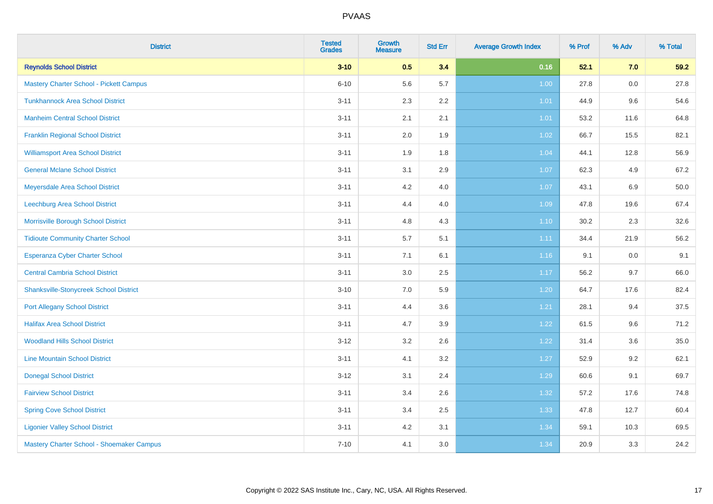| <b>District</b>                                | <b>Tested</b><br><b>Grades</b> | <b>Growth</b><br><b>Measure</b> | <b>Std Err</b> | <b>Average Growth Index</b> | % Prof | % Adv | % Total |
|------------------------------------------------|--------------------------------|---------------------------------|----------------|-----------------------------|--------|-------|---------|
| <b>Reynolds School District</b>                | $3 - 10$                       | 0.5                             | 3.4            | 0.16                        | 52.1   | 7.0   | 59.2    |
| <b>Mastery Charter School - Pickett Campus</b> | $6 - 10$                       | 5.6                             | 5.7            | 1.00                        | 27.8   | 0.0   | 27.8    |
| <b>Tunkhannock Area School District</b>        | $3 - 11$                       | 2.3                             | 2.2            | 1.01                        | 44.9   | 9.6   | 54.6    |
| <b>Manheim Central School District</b>         | $3 - 11$                       | 2.1                             | 2.1            | 1.01                        | 53.2   | 11.6  | 64.8    |
| <b>Franklin Regional School District</b>       | $3 - 11$                       | 2.0                             | 1.9            | 1.02                        | 66.7   | 15.5  | 82.1    |
| <b>Williamsport Area School District</b>       | $3 - 11$                       | 1.9                             | 1.8            | 1.04                        | 44.1   | 12.8  | 56.9    |
| <b>General Mclane School District</b>          | $3 - 11$                       | 3.1                             | 2.9            | 1.07                        | 62.3   | 4.9   | 67.2    |
| Meyersdale Area School District                | $3 - 11$                       | 4.2                             | 4.0            | 1.07                        | 43.1   | 6.9   | 50.0    |
| Leechburg Area School District                 | $3 - 11$                       | 4.4                             | 4.0            | 1.09                        | 47.8   | 19.6  | 67.4    |
| Morrisville Borough School District            | $3 - 11$                       | 4.8                             | 4.3            | 1.10                        | 30.2   | 2.3   | 32.6    |
| <b>Tidioute Community Charter School</b>       | $3 - 11$                       | 5.7                             | 5.1            | 1.11                        | 34.4   | 21.9  | 56.2    |
| Esperanza Cyber Charter School                 | $3 - 11$                       | 7.1                             | 6.1            | 1.16                        | 9.1    | 0.0   | 9.1     |
| <b>Central Cambria School District</b>         | $3 - 11$                       | $3.0\,$                         | 2.5            | 1.17                        | 56.2   | 9.7   | 66.0    |
| <b>Shanksville-Stonycreek School District</b>  | $3 - 10$                       | 7.0                             | 5.9            | 1.20                        | 64.7   | 17.6  | 82.4    |
| <b>Port Allegany School District</b>           | $3 - 11$                       | 4.4                             | 3.6            | 1.21                        | 28.1   | 9.4   | 37.5    |
| <b>Halifax Area School District</b>            | $3 - 11$                       | 4.7                             | 3.9            | 1.22                        | 61.5   | 9.6   | 71.2    |
| <b>Woodland Hills School District</b>          | $3 - 12$                       | 3.2                             | 2.6            | 1.22                        | 31.4   | 3.6   | 35.0    |
| <b>Line Mountain School District</b>           | $3 - 11$                       | 4.1                             | 3.2            | 1.27                        | 52.9   | 9.2   | 62.1    |
| <b>Donegal School District</b>                 | $3 - 12$                       | 3.1                             | 2.4            | 1.29                        | 60.6   | 9.1   | 69.7    |
| <b>Fairview School District</b>                | $3 - 11$                       | 3.4                             | 2.6            | 1.32                        | 57.2   | 17.6  | 74.8    |
| <b>Spring Cove School District</b>             | $3 - 11$                       | 3.4                             | 2.5            | 1.33                        | 47.8   | 12.7  | 60.4    |
| <b>Ligonier Valley School District</b>         | $3 - 11$                       | 4.2                             | 3.1            | 1.34                        | 59.1   | 10.3  | 69.5    |
| Mastery Charter School - Shoemaker Campus      | $7 - 10$                       | 4.1                             | 3.0            | 1.34                        | 20.9   | 3.3   | 24.2    |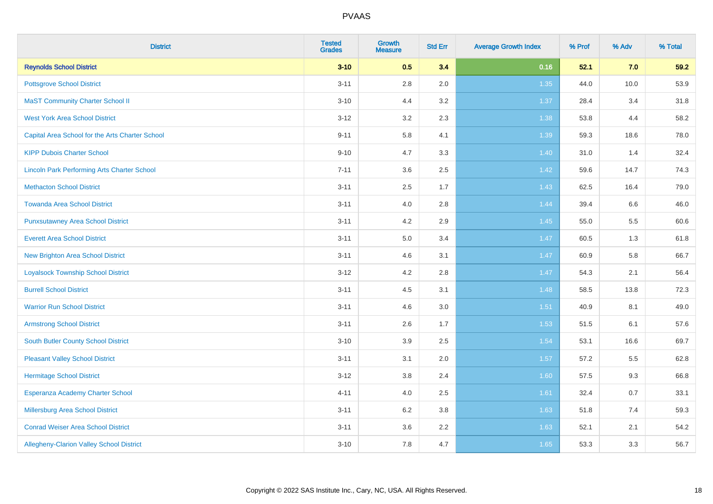| <b>District</b>                                    | <b>Tested</b><br><b>Grades</b> | <b>Growth</b><br><b>Measure</b> | <b>Std Err</b> | <b>Average Growth Index</b> | % Prof | % Adv | % Total |
|----------------------------------------------------|--------------------------------|---------------------------------|----------------|-----------------------------|--------|-------|---------|
| <b>Reynolds School District</b>                    | $3 - 10$                       | 0.5                             | 3.4            | 0.16                        | 52.1   | 7.0   | 59.2    |
| <b>Pottsgrove School District</b>                  | $3 - 11$                       | $2.8\,$                         | 2.0            | 1.35                        | 44.0   | 10.0  | 53.9    |
| <b>MaST Community Charter School II</b>            | $3 - 10$                       | 4.4                             | 3.2            | 1.37                        | 28.4   | 3.4   | 31.8    |
| <b>West York Area School District</b>              | $3 - 12$                       | 3.2                             | 2.3            | 1.38                        | 53.8   | 4.4   | 58.2    |
| Capital Area School for the Arts Charter School    | $9 - 11$                       | 5.8                             | 4.1            | 1.39                        | 59.3   | 18.6  | 78.0    |
| <b>KIPP Dubois Charter School</b>                  | $9 - 10$                       | 4.7                             | 3.3            | 1.40                        | 31.0   | 1.4   | 32.4    |
| <b>Lincoln Park Performing Arts Charter School</b> | $7 - 11$                       | 3.6                             | 2.5            | 1.42                        | 59.6   | 14.7  | 74.3    |
| <b>Methacton School District</b>                   | $3 - 11$                       | 2.5                             | 1.7            | 1.43                        | 62.5   | 16.4  | 79.0    |
| <b>Towanda Area School District</b>                | $3 - 11$                       | 4.0                             | 2.8            | 1.44                        | 39.4   | 6.6   | 46.0    |
| <b>Punxsutawney Area School District</b>           | $3 - 11$                       | 4.2                             | 2.9            | $1.45$                      | 55.0   | 5.5   | 60.6    |
| <b>Everett Area School District</b>                | $3 - 11$                       | 5.0                             | 3.4            | 1.47                        | 60.5   | 1.3   | 61.8    |
| <b>New Brighton Area School District</b>           | $3 - 11$                       | 4.6                             | 3.1            | $1.47$                      | 60.9   | 5.8   | 66.7    |
| <b>Loyalsock Township School District</b>          | $3 - 12$                       | 4.2                             | 2.8            | 1.47                        | 54.3   | 2.1   | 56.4    |
| <b>Burrell School District</b>                     | $3 - 11$                       | 4.5                             | 3.1            | 1.48                        | 58.5   | 13.8  | 72.3    |
| <b>Warrior Run School District</b>                 | $3 - 11$                       | 4.6                             | 3.0            | 1.51                        | 40.9   | 8.1   | 49.0    |
| <b>Armstrong School District</b>                   | $3 - 11$                       | 2.6                             | 1.7            | 1.53                        | 51.5   | 6.1   | 57.6    |
| <b>South Butler County School District</b>         | $3 - 10$                       | 3.9                             | 2.5            | 1.54                        | 53.1   | 16.6  | 69.7    |
| <b>Pleasant Valley School District</b>             | $3 - 11$                       | 3.1                             | 2.0            | 1.57                        | 57.2   | 5.5   | 62.8    |
| <b>Hermitage School District</b>                   | $3 - 12$                       | $3.8\,$                         | 2.4            | 1.60                        | 57.5   | 9.3   | 66.8    |
| Esperanza Academy Charter School                   | $4 - 11$                       | 4.0                             | 2.5            | 1.61                        | 32.4   | 0.7   | 33.1    |
| <b>Millersburg Area School District</b>            | $3 - 11$                       | 6.2                             | 3.8            | 1.63                        | 51.8   | 7.4   | 59.3    |
| <b>Conrad Weiser Area School District</b>          | $3 - 11$                       | 3.6                             | 2.2            | 1.63                        | 52.1   | 2.1   | 54.2    |
| Allegheny-Clarion Valley School District           | $3 - 10$                       | 7.8                             | 4.7            | 1.65                        | 53.3   | 3.3   | 56.7    |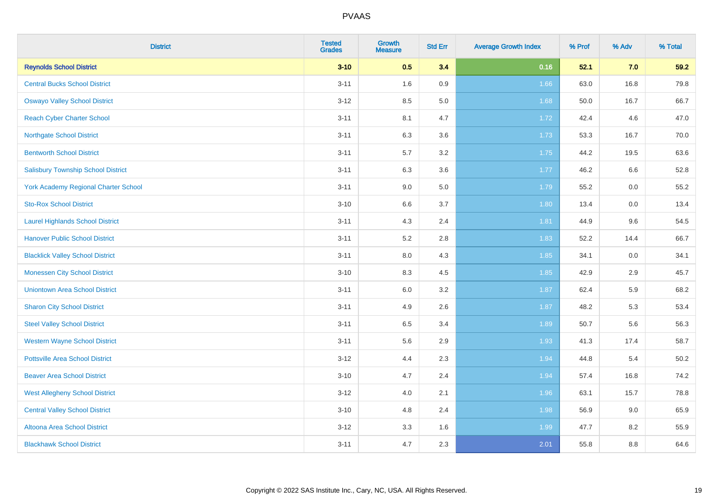| <b>District</b>                           | <b>Tested</b><br><b>Grades</b> | <b>Growth</b><br><b>Measure</b> | <b>Std Err</b> | <b>Average Growth Index</b> | % Prof | % Adv | % Total |
|-------------------------------------------|--------------------------------|---------------------------------|----------------|-----------------------------|--------|-------|---------|
| <b>Reynolds School District</b>           | $3 - 10$                       | 0.5                             | 3.4            | 0.16                        | 52.1   | 7.0   | 59.2    |
| <b>Central Bucks School District</b>      | $3 - 11$                       | 1.6                             | 0.9            | 1.66                        | 63.0   | 16.8  | 79.8    |
| <b>Oswayo Valley School District</b>      | $3 - 12$                       | 8.5                             | 5.0            | 1.68                        | 50.0   | 16.7  | 66.7    |
| <b>Reach Cyber Charter School</b>         | $3 - 11$                       | 8.1                             | 4.7            | 1.72                        | 42.4   | 4.6   | 47.0    |
| <b>Northgate School District</b>          | $3 - 11$                       | 6.3                             | 3.6            | 1.73                        | 53.3   | 16.7  | 70.0    |
| <b>Bentworth School District</b>          | $3 - 11$                       | 5.7                             | 3.2            | 1.75                        | 44.2   | 19.5  | 63.6    |
| <b>Salisbury Township School District</b> | $3 - 11$                       | 6.3                             | 3.6            | 1.77                        | 46.2   | 6.6   | 52.8    |
| York Academy Regional Charter School      | $3 - 11$                       | 9.0                             | 5.0            | 1.79                        | 55.2   | 0.0   | 55.2    |
| <b>Sto-Rox School District</b>            | $3 - 10$                       | 6.6                             | 3.7            | 1.80                        | 13.4   | 0.0   | 13.4    |
| <b>Laurel Highlands School District</b>   | $3 - 11$                       | 4.3                             | 2.4            | 1.81                        | 44.9   | 9.6   | 54.5    |
| <b>Hanover Public School District</b>     | $3 - 11$                       | 5.2                             | 2.8            | 1.83                        | 52.2   | 14.4  | 66.7    |
| <b>Blacklick Valley School District</b>   | $3 - 11$                       | 8.0                             | 4.3            | 1.85                        | 34.1   | 0.0   | 34.1    |
| <b>Monessen City School District</b>      | $3 - 10$                       | 8.3                             | 4.5            | 1.85                        | 42.9   | 2.9   | 45.7    |
| <b>Uniontown Area School District</b>     | $3 - 11$                       | 6.0                             | 3.2            | 1.87                        | 62.4   | 5.9   | 68.2    |
| <b>Sharon City School District</b>        | $3 - 11$                       | 4.9                             | 2.6            | 1.87                        | 48.2   | 5.3   | 53.4    |
| <b>Steel Valley School District</b>       | $3 - 11$                       | 6.5                             | 3.4            | 1.89                        | 50.7   | 5.6   | 56.3    |
| <b>Western Wayne School District</b>      | $3 - 11$                       | 5.6                             | 2.9            | 1.93                        | 41.3   | 17.4  | 58.7    |
| <b>Pottsville Area School District</b>    | $3 - 12$                       | 4.4                             | 2.3            | 1.94                        | 44.8   | 5.4   | 50.2    |
| <b>Beaver Area School District</b>        | $3 - 10$                       | 4.7                             | 2.4            | 1.94                        | 57.4   | 16.8  | 74.2    |
| <b>West Allegheny School District</b>     | $3 - 12$                       | 4.0                             | 2.1            | 1.96                        | 63.1   | 15.7  | 78.8    |
| <b>Central Valley School District</b>     | $3 - 10$                       | 4.8                             | 2.4            | 1.98                        | 56.9   | 9.0   | 65.9    |
| Altoona Area School District              | $3 - 12$                       | 3.3                             | 1.6            | 1.99                        | 47.7   | 8.2   | 55.9    |
| <b>Blackhawk School District</b>          | $3 - 11$                       | 4.7                             | 2.3            | 2.01                        | 55.8   | 8.8   | 64.6    |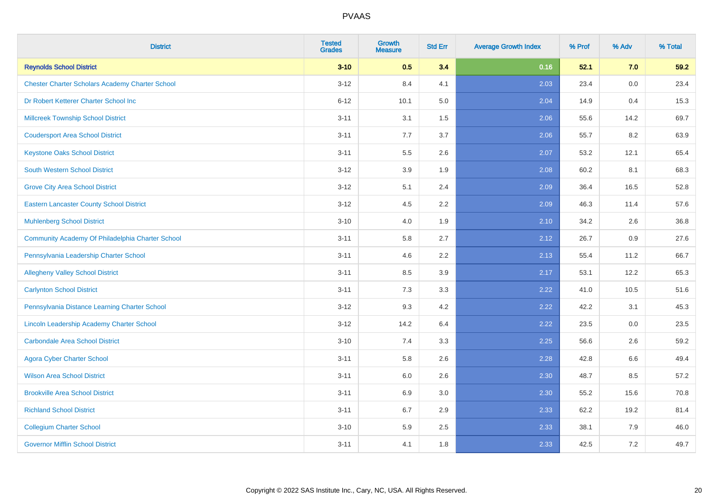| <b>District</b>                                        | <b>Tested</b><br><b>Grades</b> | <b>Growth</b><br><b>Measure</b> | <b>Std Err</b> | <b>Average Growth Index</b> | % Prof | % Adv   | % Total |
|--------------------------------------------------------|--------------------------------|---------------------------------|----------------|-----------------------------|--------|---------|---------|
| <b>Reynolds School District</b>                        | $3 - 10$                       | 0.5                             | 3.4            | 0.16                        | 52.1   | 7.0     | 59.2    |
| <b>Chester Charter Scholars Academy Charter School</b> | $3 - 12$                       | 8.4                             | 4.1            | 2.03                        | 23.4   | 0.0     | 23.4    |
| Dr Robert Ketterer Charter School Inc                  | $6 - 12$                       | 10.1                            | 5.0            | 2.04                        | 14.9   | 0.4     | 15.3    |
| <b>Millcreek Township School District</b>              | $3 - 11$                       | 3.1                             | $1.5$          | 2.06                        | 55.6   | 14.2    | 69.7    |
| <b>Coudersport Area School District</b>                | $3 - 11$                       | 7.7                             | 3.7            | 2.06                        | 55.7   | 8.2     | 63.9    |
| <b>Keystone Oaks School District</b>                   | $3 - 11$                       | $5.5\,$                         | 2.6            | 2.07                        | 53.2   | 12.1    | 65.4    |
| South Western School District                          | $3 - 12$                       | 3.9                             | 1.9            | 2.08                        | 60.2   | 8.1     | 68.3    |
| <b>Grove City Area School District</b>                 | $3 - 12$                       | 5.1                             | 2.4            | 2.09                        | 36.4   | 16.5    | 52.8    |
| <b>Eastern Lancaster County School District</b>        | $3 - 12$                       | 4.5                             | 2.2            | 2.09                        | 46.3   | 11.4    | 57.6    |
| <b>Muhlenberg School District</b>                      | $3 - 10$                       | 4.0                             | 1.9            | 2.10                        | 34.2   | $2.6\,$ | 36.8    |
| Community Academy Of Philadelphia Charter School       | $3 - 11$                       | 5.8                             | 2.7            | 2.12                        | 26.7   | 0.9     | 27.6    |
| Pennsylvania Leadership Charter School                 | $3 - 11$                       | 4.6                             | 2.2            | 2.13                        | 55.4   | 11.2    | 66.7    |
| <b>Allegheny Valley School District</b>                | $3 - 11$                       | 8.5                             | 3.9            | 2.17                        | 53.1   | 12.2    | 65.3    |
| <b>Carlynton School District</b>                       | $3 - 11$                       | 7.3                             | 3.3            | 2.22                        | 41.0   | 10.5    | 51.6    |
| Pennsylvania Distance Learning Charter School          | $3 - 12$                       | 9.3                             | 4.2            | 2.22                        | 42.2   | 3.1     | 45.3    |
| Lincoln Leadership Academy Charter School              | $3 - 12$                       | 14.2                            | 6.4            | 2.22                        | 23.5   | 0.0     | 23.5    |
| <b>Carbondale Area School District</b>                 | $3 - 10$                       | 7.4                             | 3.3            | 2.25                        | 56.6   | 2.6     | 59.2    |
| <b>Agora Cyber Charter School</b>                      | $3 - 11$                       | 5.8                             | 2.6            | 2.28                        | 42.8   | 6.6     | 49.4    |
| <b>Wilson Area School District</b>                     | $3 - 11$                       | 6.0                             | 2.6            | 2.30                        | 48.7   | 8.5     | 57.2    |
| <b>Brookville Area School District</b>                 | $3 - 11$                       | 6.9                             | 3.0            | 2.30                        | 55.2   | 15.6    | 70.8    |
| <b>Richland School District</b>                        | $3 - 11$                       | 6.7                             | 2.9            | 2.33                        | 62.2   | 19.2    | 81.4    |
| <b>Collegium Charter School</b>                        | $3 - 10$                       | 5.9                             | 2.5            | 2.33                        | 38.1   | 7.9     | 46.0    |
| <b>Governor Mifflin School District</b>                | $3 - 11$                       | 4.1                             | 1.8            | 2.33                        | 42.5   | 7.2     | 49.7    |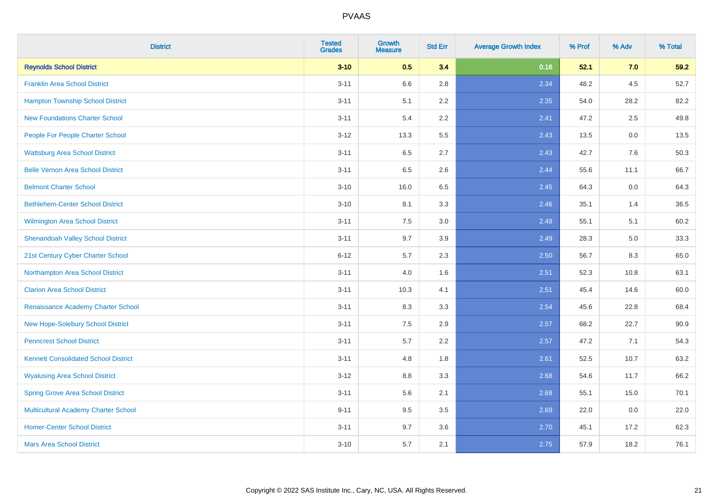| <b>District</b>                             | <b>Tested</b><br><b>Grades</b> | <b>Growth</b><br><b>Measure</b> | <b>Std Err</b> | <b>Average Growth Index</b> | % Prof | % Adv | % Total |
|---------------------------------------------|--------------------------------|---------------------------------|----------------|-----------------------------|--------|-------|---------|
| <b>Reynolds School District</b>             | $3 - 10$                       | 0.5                             | 3.4            | 0.16                        | 52.1   | 7.0   | 59.2    |
| <b>Franklin Area School District</b>        | $3 - 11$                       | 6.6                             | 2.8            | 2.34                        | 48.2   | 4.5   | 52.7    |
| <b>Hampton Township School District</b>     | $3 - 11$                       | 5.1                             | 2.2            | 2.35                        | 54.0   | 28.2  | 82.2    |
| <b>New Foundations Charter School</b>       | $3 - 11$                       | 5.4                             | 2.2            | 2.41                        | 47.2   | 2.5   | 49.8    |
| People For People Charter School            | $3 - 12$                       | 13.3                            | 5.5            | 2.43                        | 13.5   | 0.0   | 13.5    |
| <b>Wattsburg Area School District</b>       | $3 - 11$                       | 6.5                             | 2.7            | 2.43                        | 42.7   | 7.6   | 50.3    |
| <b>Belle Vernon Area School District</b>    | $3 - 11$                       | 6.5                             | 2.6            | 2.44                        | 55.6   | 11.1  | 66.7    |
| <b>Belmont Charter School</b>               | $3 - 10$                       | 16.0                            | 6.5            | 2.45                        | 64.3   | 0.0   | 64.3    |
| <b>Bethlehem-Center School District</b>     | $3 - 10$                       | 8.1                             | 3.3            | 2.46                        | 35.1   | 1.4   | 36.5    |
| Wilmington Area School District             | $3 - 11$                       | $7.5\,$                         | 3.0            | 2.48                        | 55.1   | 5.1   | 60.2    |
| <b>Shenandoah Valley School District</b>    | $3 - 11$                       | 9.7                             | 3.9            | 2.49                        | 28.3   | 5.0   | 33.3    |
| 21st Century Cyber Charter School           | $6 - 12$                       | 5.7                             | 2.3            | 2.50                        | 56.7   | 8.3   | 65.0    |
| Northampton Area School District            | $3 - 11$                       | 4.0                             | 1.6            | 2.51                        | 52.3   | 10.8  | 63.1    |
| <b>Clarion Area School District</b>         | $3 - 11$                       | 10.3                            | 4.1            | 2.51                        | 45.4   | 14.6  | 60.0    |
| Renaissance Academy Charter School          | $3 - 11$                       | 8.3                             | 3.3            | 2.54                        | 45.6   | 22.8  | 68.4    |
| New Hope-Solebury School District           | $3 - 11$                       | 7.5                             | 2.9            | 2.57                        | 68.2   | 22.7  | 90.9    |
| <b>Penncrest School District</b>            | $3 - 11$                       | 5.7                             | 2.2            | 2.57                        | 47.2   | 7.1   | 54.3    |
| <b>Kennett Consolidated School District</b> | $3 - 11$                       | 4.8                             | 1.8            | 2.61                        | 52.5   | 10.7  | 63.2    |
| <b>Wyalusing Area School District</b>       | $3 - 12$                       | 8.8                             | 3.3            | 2.68                        | 54.6   | 11.7  | 66.2    |
| <b>Spring Grove Area School District</b>    | $3 - 11$                       | 5.6                             | 2.1            | 2.68                        | 55.1   | 15.0  | 70.1    |
| <b>Multicultural Academy Charter School</b> | $9 - 11$                       | 9.5                             | 3.5            | 2.69                        | 22.0   | 0.0   | 22.0    |
| <b>Homer-Center School District</b>         | $3 - 11$                       | 9.7                             | 3.6            | 2.70                        | 45.1   | 17.2  | 62.3    |
| <b>Mars Area School District</b>            | $3 - 10$                       | 5.7                             | 2.1            | 2.75                        | 57.9   | 18.2  | 76.1    |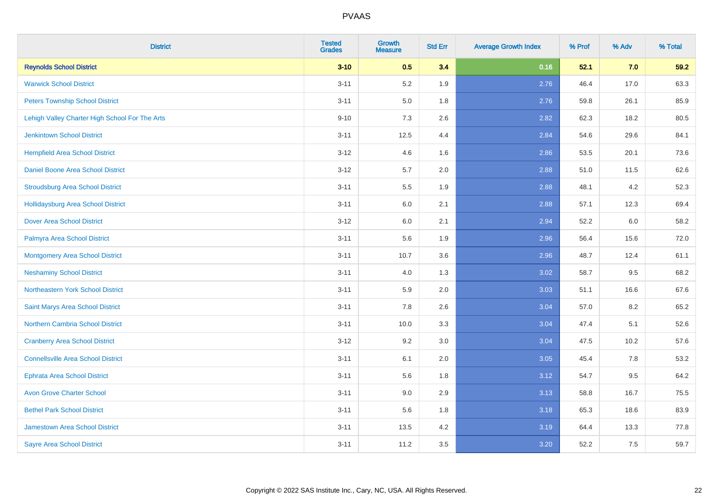| <b>District</b>                                | <b>Tested</b><br><b>Grades</b> | <b>Growth</b><br><b>Measure</b> | <b>Std Err</b> | <b>Average Growth Index</b> | % Prof | % Adv | % Total |
|------------------------------------------------|--------------------------------|---------------------------------|----------------|-----------------------------|--------|-------|---------|
| <b>Reynolds School District</b>                | $3 - 10$                       | 0.5                             | 3.4            | 0.16                        | 52.1   | 7.0   | 59.2    |
| <b>Warwick School District</b>                 | $3 - 11$                       | 5.2                             | 1.9            | 2.76                        | 46.4   | 17.0  | 63.3    |
| <b>Peters Township School District</b>         | $3 - 11$                       | 5.0                             | 1.8            | 2.76                        | 59.8   | 26.1  | 85.9    |
| Lehigh Valley Charter High School For The Arts | $9 - 10$                       | $7.3$                           | 2.6            | 2.82                        | 62.3   | 18.2  | 80.5    |
| <b>Jenkintown School District</b>              | $3 - 11$                       | 12.5                            | 4.4            | 2.84                        | 54.6   | 29.6  | 84.1    |
| <b>Hempfield Area School District</b>          | $3 - 12$                       | 4.6                             | 1.6            | 2.86                        | 53.5   | 20.1  | 73.6    |
| Daniel Boone Area School District              | $3 - 12$                       | $5.7\,$                         | 2.0            | 2.88                        | 51.0   | 11.5  | 62.6    |
| <b>Stroudsburg Area School District</b>        | $3 - 11$                       | $5.5\,$                         | 1.9            | 2.88                        | 48.1   | 4.2   | 52.3    |
| <b>Hollidaysburg Area School District</b>      | $3 - 11$                       | 6.0                             | 2.1            | 2.88                        | 57.1   | 12.3  | 69.4    |
| <b>Dover Area School District</b>              | $3 - 12$                       | $6.0\,$                         | 2.1            | 2.94                        | 52.2   | 6.0   | 58.2    |
| Palmyra Area School District                   | $3 - 11$                       | 5.6                             | 1.9            | 2.96                        | 56.4   | 15.6  | 72.0    |
| Montgomery Area School District                | $3 - 11$                       | 10.7                            | 3.6            | 2.96                        | 48.7   | 12.4  | 61.1    |
| <b>Neshaminy School District</b>               | $3 - 11$                       | 4.0                             | 1.3            | 3.02                        | 58.7   | 9.5   | 68.2    |
| Northeastern York School District              | $3 - 11$                       | 5.9                             | 2.0            | 3.03                        | 51.1   | 16.6  | 67.6    |
| Saint Marys Area School District               | $3 - 11$                       | 7.8                             | 2.6            | 3.04                        | 57.0   | 8.2   | 65.2    |
| <b>Northern Cambria School District</b>        | $3 - 11$                       | 10.0                            | 3.3            | 3.04                        | 47.4   | 5.1   | 52.6    |
| <b>Cranberry Area School District</b>          | $3 - 12$                       | 9.2                             | 3.0            | 3.04                        | 47.5   | 10.2  | 57.6    |
| <b>Connellsville Area School District</b>      | $3 - 11$                       | 6.1                             | 2.0            | 3.05                        | 45.4   | 7.8   | 53.2    |
| <b>Ephrata Area School District</b>            | $3 - 11$                       | 5.6                             | 1.8            | 3.12                        | 54.7   | 9.5   | 64.2    |
| <b>Avon Grove Charter School</b>               | $3 - 11$                       | 9.0                             | 2.9            | 3.13                        | 58.8   | 16.7  | 75.5    |
| <b>Bethel Park School District</b>             | $3 - 11$                       | 5.6                             | 1.8            | 3.18                        | 65.3   | 18.6  | 83.9    |
| <b>Jamestown Area School District</b>          | $3 - 11$                       | 13.5                            | 4.2            | 3.19                        | 64.4   | 13.3  | 77.8    |
| <b>Sayre Area School District</b>              | $3 - 11$                       | 11.2                            | 3.5            | 3.20                        | 52.2   | 7.5   | 59.7    |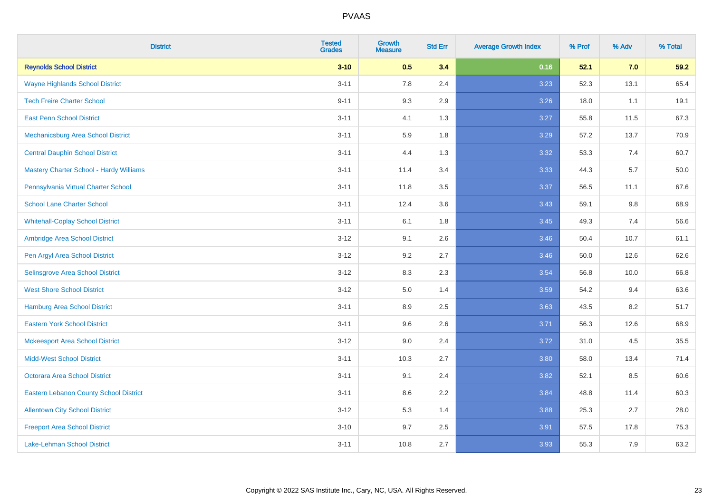| <b>District</b>                                | <b>Tested</b><br><b>Grades</b> | <b>Growth</b><br><b>Measure</b> | <b>Std Err</b> | <b>Average Growth Index</b> | % Prof | % Adv | % Total |
|------------------------------------------------|--------------------------------|---------------------------------|----------------|-----------------------------|--------|-------|---------|
| <b>Reynolds School District</b>                | $3 - 10$                       | 0.5                             | 3.4            | 0.16                        | 52.1   | 7.0   | 59.2    |
| <b>Wayne Highlands School District</b>         | $3 - 11$                       | 7.8                             | 2.4            | 3.23                        | 52.3   | 13.1  | 65.4    |
| <b>Tech Freire Charter School</b>              | $9 - 11$                       | 9.3                             | 2.9            | 3.26                        | 18.0   | 1.1   | 19.1    |
| <b>East Penn School District</b>               | $3 - 11$                       | 4.1                             | 1.3            | 3.27                        | 55.8   | 11.5  | 67.3    |
| Mechanicsburg Area School District             | $3 - 11$                       | 5.9                             | 1.8            | 3.29                        | 57.2   | 13.7  | 70.9    |
| <b>Central Dauphin School District</b>         | $3 - 11$                       | 4.4                             | 1.3            | 3.32                        | 53.3   | 7.4   | 60.7    |
| <b>Mastery Charter School - Hardy Williams</b> | $3 - 11$                       | 11.4                            | 3.4            | 3.33                        | 44.3   | 5.7   | 50.0    |
| Pennsylvania Virtual Charter School            | $3 - 11$                       | 11.8                            | 3.5            | 3.37                        | 56.5   | 11.1  | 67.6    |
| <b>School Lane Charter School</b>              | $3 - 11$                       | 12.4                            | 3.6            | 3.43                        | 59.1   | 9.8   | 68.9    |
| <b>Whitehall-Coplay School District</b>        | $3 - 11$                       | 6.1                             | 1.8            | 3.45                        | 49.3   | 7.4   | 56.6    |
| Ambridge Area School District                  | $3 - 12$                       | 9.1                             | 2.6            | 3.46                        | 50.4   | 10.7  | 61.1    |
| Pen Argyl Area School District                 | $3 - 12$                       | 9.2                             | 2.7            | 3.46                        | 50.0   | 12.6  | 62.6    |
| Selinsgrove Area School District               | $3 - 12$                       | 8.3                             | 2.3            | 3.54                        | 56.8   | 10.0  | 66.8    |
| <b>West Shore School District</b>              | $3 - 12$                       | $5.0\,$                         | 1.4            | 3.59                        | 54.2   | 9.4   | 63.6    |
| <b>Hamburg Area School District</b>            | $3 - 11$                       | 8.9                             | 2.5            | 3.63                        | 43.5   | 8.2   | 51.7    |
| <b>Eastern York School District</b>            | $3 - 11$                       | 9.6                             | 2.6            | 3.71                        | 56.3   | 12.6  | 68.9    |
| <b>Mckeesport Area School District</b>         | $3 - 12$                       | 9.0                             | 2.4            | 3.72                        | 31.0   | 4.5   | 35.5    |
| <b>Midd-West School District</b>               | $3 - 11$                       | 10.3                            | 2.7            | 3.80                        | 58.0   | 13.4  | 71.4    |
| <b>Octorara Area School District</b>           | $3 - 11$                       | 9.1                             | 2.4            | 3.82                        | 52.1   | 8.5   | 60.6    |
| <b>Eastern Lebanon County School District</b>  | $3 - 11$                       | 8.6                             | 2.2            | 3.84                        | 48.8   | 11.4  | 60.3    |
| <b>Allentown City School District</b>          | $3-12$                         | $5.3\,$                         | 1.4            | 3.88                        | 25.3   | 2.7   | 28.0    |
| <b>Freeport Area School District</b>           | $3 - 10$                       | 9.7                             | 2.5            | 3.91                        | 57.5   | 17.8  | 75.3    |
| Lake-Lehman School District                    | $3 - 11$                       | 10.8                            | 2.7            | 3.93                        | 55.3   | 7.9   | 63.2    |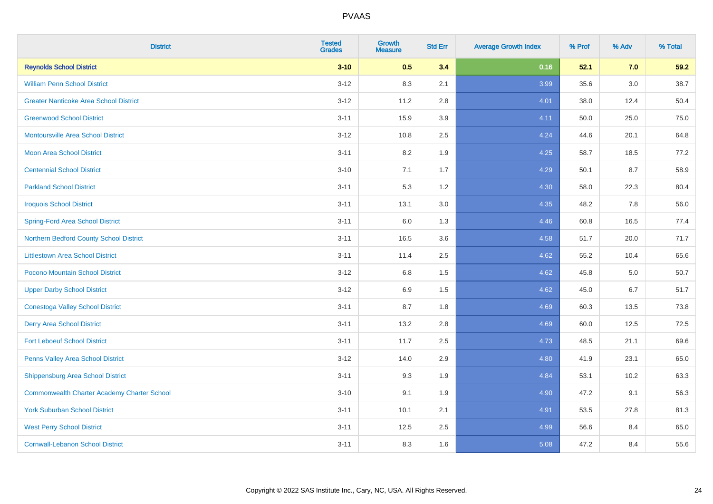| <b>District</b>                                    | <b>Tested</b><br><b>Grades</b> | <b>Growth</b><br><b>Measure</b> | <b>Std Err</b> | <b>Average Growth Index</b> | % Prof | % Adv | % Total |
|----------------------------------------------------|--------------------------------|---------------------------------|----------------|-----------------------------|--------|-------|---------|
| <b>Reynolds School District</b>                    | $3 - 10$                       | 0.5                             | 3.4            | 0.16                        | 52.1   | 7.0   | 59.2    |
| <b>William Penn School District</b>                | $3 - 12$                       | 8.3                             | 2.1            | 3.99                        | 35.6   | 3.0   | 38.7    |
| <b>Greater Nanticoke Area School District</b>      | $3 - 12$                       | 11.2                            | 2.8            | 4.01                        | 38.0   | 12.4  | 50.4    |
| <b>Greenwood School District</b>                   | $3 - 11$                       | 15.9                            | 3.9            | 4.11                        | 50.0   | 25.0  | 75.0    |
| <b>Montoursville Area School District</b>          | $3 - 12$                       | 10.8                            | 2.5            | 4.24                        | 44.6   | 20.1  | 64.8    |
| <b>Moon Area School District</b>                   | $3 - 11$                       | 8.2                             | 1.9            | 4.25                        | 58.7   | 18.5  | 77.2    |
| <b>Centennial School District</b>                  | $3 - 10$                       | 7.1                             | 1.7            | 4.29                        | 50.1   | 8.7   | 58.9    |
| <b>Parkland School District</b>                    | $3 - 11$                       | 5.3                             | 1.2            | 4.30                        | 58.0   | 22.3  | 80.4    |
| <b>Iroquois School District</b>                    | $3 - 11$                       | 13.1                            | 3.0            | 4.35                        | 48.2   | 7.8   | 56.0    |
| <b>Spring-Ford Area School District</b>            | $3 - 11$                       | 6.0                             | 1.3            | 4.46                        | 60.8   | 16.5  | 77.4    |
| Northern Bedford County School District            | $3 - 11$                       | 16.5                            | 3.6            | 4.58                        | 51.7   | 20.0  | 71.7    |
| <b>Littlestown Area School District</b>            | $3 - 11$                       | 11.4                            | 2.5            | 4.62                        | 55.2   | 10.4  | 65.6    |
| Pocono Mountain School District                    | $3 - 12$                       | $6.8\,$                         | 1.5            | 4.62                        | 45.8   | 5.0   | 50.7    |
| <b>Upper Darby School District</b>                 | $3 - 12$                       | 6.9                             | 1.5            | 4.62                        | 45.0   | 6.7   | 51.7    |
| <b>Conestoga Valley School District</b>            | $3 - 11$                       | 8.7                             | 1.8            | 4.69                        | 60.3   | 13.5  | 73.8    |
| <b>Derry Area School District</b>                  | $3 - 11$                       | 13.2                            | 2.8            | 4.69                        | 60.0   | 12.5  | 72.5    |
| <b>Fort Leboeuf School District</b>                | $3 - 11$                       | 11.7                            | 2.5            | 4.73                        | 48.5   | 21.1  | 69.6    |
| Penns Valley Area School District                  | $3 - 12$                       | 14.0                            | 2.9            | 4.80                        | 41.9   | 23.1  | 65.0    |
| <b>Shippensburg Area School District</b>           | $3 - 11$                       | 9.3                             | 1.9            | 4.84                        | 53.1   | 10.2  | 63.3    |
| <b>Commonwealth Charter Academy Charter School</b> | $3 - 10$                       | 9.1                             | 1.9            | 4.90                        | 47.2   | 9.1   | 56.3    |
| <b>York Suburban School District</b>               | $3 - 11$                       | 10.1                            | 2.1            | 4.91                        | 53.5   | 27.8  | 81.3    |
| <b>West Perry School District</b>                  | $3 - 11$                       | 12.5                            | 2.5            | 4.99                        | 56.6   | 8.4   | 65.0    |
| <b>Cornwall-Lebanon School District</b>            | $3 - 11$                       | 8.3                             | 1.6            | 5.08                        | 47.2   | 8.4   | 55.6    |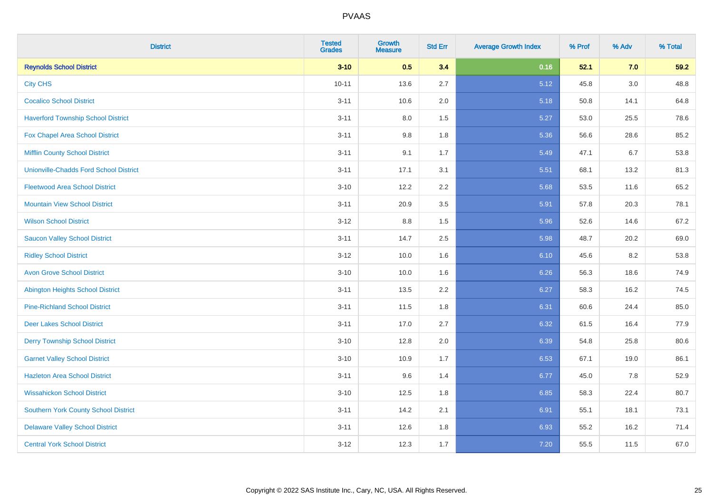| <b>District</b>                               | <b>Tested</b><br><b>Grades</b> | <b>Growth</b><br><b>Measure</b> | <b>Std Err</b> | <b>Average Growth Index</b> | % Prof | % Adv | % Total |
|-----------------------------------------------|--------------------------------|---------------------------------|----------------|-----------------------------|--------|-------|---------|
| <b>Reynolds School District</b>               | $3 - 10$                       | 0.5                             | 3.4            | 0.16                        | 52.1   | 7.0   | 59.2    |
| <b>City CHS</b>                               | $10 - 11$                      | 13.6                            | 2.7            | 5.12                        | 45.8   | 3.0   | 48.8    |
| <b>Cocalico School District</b>               | $3 - 11$                       | 10.6                            | 2.0            | 5.18                        | 50.8   | 14.1  | 64.8    |
| <b>Haverford Township School District</b>     | $3 - 11$                       | $8.0\,$                         | 1.5            | 5.27                        | 53.0   | 25.5  | 78.6    |
| <b>Fox Chapel Area School District</b>        | $3 - 11$                       | 9.8                             | 1.8            | 5.36                        | 56.6   | 28.6  | 85.2    |
| <b>Mifflin County School District</b>         | $3 - 11$                       | 9.1                             | 1.7            | 5.49                        | 47.1   | 6.7   | 53.8    |
| <b>Unionville-Chadds Ford School District</b> | $3 - 11$                       | 17.1                            | 3.1            | 5.51                        | 68.1   | 13.2  | 81.3    |
| <b>Fleetwood Area School District</b>         | $3 - 10$                       | 12.2                            | 2.2            | 5.68                        | 53.5   | 11.6  | 65.2    |
| <b>Mountain View School District</b>          | $3 - 11$                       | 20.9                            | 3.5            | 5.91                        | 57.8   | 20.3  | 78.1    |
| <b>Wilson School District</b>                 | $3 - 12$                       | 8.8                             | 1.5            | 5.96                        | 52.6   | 14.6  | 67.2    |
| <b>Saucon Valley School District</b>          | $3 - 11$                       | 14.7                            | 2.5            | 5.98                        | 48.7   | 20.2  | 69.0    |
| <b>Ridley School District</b>                 | $3 - 12$                       | 10.0                            | 1.6            | 6.10                        | 45.6   | 8.2   | 53.8    |
| <b>Avon Grove School District</b>             | $3 - 10$                       | 10.0                            | 1.6            | 6.26                        | 56.3   | 18.6  | 74.9    |
| <b>Abington Heights School District</b>       | $3 - 11$                       | 13.5                            | 2.2            | 6.27                        | 58.3   | 16.2  | 74.5    |
| <b>Pine-Richland School District</b>          | $3 - 11$                       | 11.5                            | 1.8            | 6.31                        | 60.6   | 24.4  | 85.0    |
| <b>Deer Lakes School District</b>             | $3 - 11$                       | 17.0                            | 2.7            | 6.32                        | 61.5   | 16.4  | 77.9    |
| <b>Derry Township School District</b>         | $3 - 10$                       | 12.8                            | 2.0            | 6.39                        | 54.8   | 25.8  | 80.6    |
| <b>Garnet Valley School District</b>          | $3 - 10$                       | 10.9                            | 1.7            | 6.53                        | 67.1   | 19.0  | 86.1    |
| <b>Hazleton Area School District</b>          | $3 - 11$                       | 9.6                             | 1.4            | 6.77                        | 45.0   | 7.8   | 52.9    |
| <b>Wissahickon School District</b>            | $3 - 10$                       | 12.5                            | 1.8            | 6.85                        | 58.3   | 22.4  | 80.7    |
| <b>Southern York County School District</b>   | $3 - 11$                       | 14.2                            | 2.1            | 6.91                        | 55.1   | 18.1  | 73.1    |
| <b>Delaware Valley School District</b>        | $3 - 11$                       | 12.6                            | 1.8            | 6.93                        | 55.2   | 16.2  | 71.4    |
| <b>Central York School District</b>           | $3 - 12$                       | 12.3                            | 1.7            | 7.20                        | 55.5   | 11.5  | 67.0    |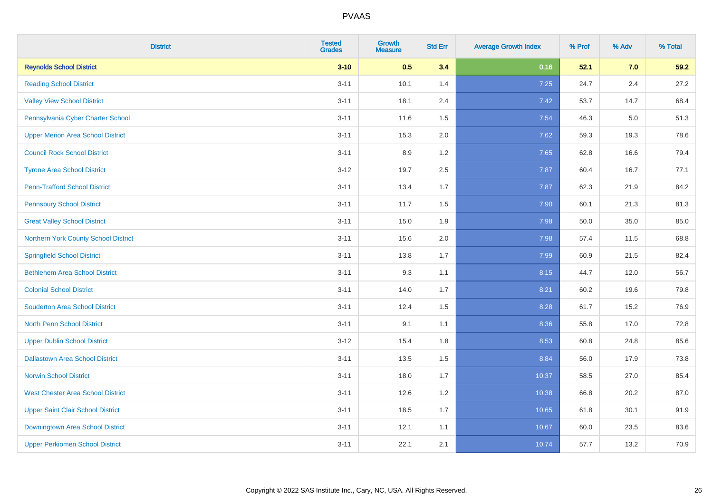| <b>District</b>                          | <b>Tested</b><br><b>Grades</b> | <b>Growth</b><br><b>Measure</b> | <b>Std Err</b> | <b>Average Growth Index</b> | % Prof | % Adv   | % Total |
|------------------------------------------|--------------------------------|---------------------------------|----------------|-----------------------------|--------|---------|---------|
| <b>Reynolds School District</b>          | $3 - 10$                       | 0.5                             | 3.4            | 0.16                        | 52.1   | 7.0     | 59.2    |
| <b>Reading School District</b>           | $3 - 11$                       | 10.1                            | 1.4            | 7.25                        | 24.7   | $2.4\,$ | 27.2    |
| <b>Valley View School District</b>       | $3 - 11$                       | 18.1                            | 2.4            | 7.42                        | 53.7   | 14.7    | 68.4    |
| Pennsylvania Cyber Charter School        | $3 - 11$                       | 11.6                            | 1.5            | 7.54                        | 46.3   | 5.0     | 51.3    |
| <b>Upper Merion Area School District</b> | $3 - 11$                       | 15.3                            | 2.0            | 7.62                        | 59.3   | 19.3    | 78.6    |
| <b>Council Rock School District</b>      | $3 - 11$                       | 8.9                             | 1.2            | 7.65                        | 62.8   | 16.6    | 79.4    |
| <b>Tyrone Area School District</b>       | $3-12$                         | 19.7                            | 2.5            | 7.87                        | 60.4   | 16.7    | 77.1    |
| <b>Penn-Trafford School District</b>     | $3 - 11$                       | 13.4                            | 1.7            | 7.87                        | 62.3   | 21.9    | 84.2    |
| <b>Pennsbury School District</b>         | $3 - 11$                       | 11.7                            | 1.5            | 7.90                        | 60.1   | 21.3    | 81.3    |
| <b>Great Valley School District</b>      | $3 - 11$                       | 15.0                            | 1.9            | 7.98                        | 50.0   | 35.0    | 85.0    |
| Northern York County School District     | $3 - 11$                       | 15.6                            | 2.0            | 7.98                        | 57.4   | 11.5    | 68.8    |
| <b>Springfield School District</b>       | $3 - 11$                       | 13.8                            | 1.7            | 7.99                        | 60.9   | 21.5    | 82.4    |
| <b>Bethlehem Area School District</b>    | $3 - 11$                       | 9.3                             | 1.1            | 8.15                        | 44.7   | 12.0    | 56.7    |
| <b>Colonial School District</b>          | $3 - 11$                       | 14.0                            | 1.7            | 8.21                        | 60.2   | 19.6    | 79.8    |
| <b>Souderton Area School District</b>    | $3 - 11$                       | 12.4                            | 1.5            | 8.28                        | 61.7   | 15.2    | 76.9    |
| <b>North Penn School District</b>        | $3 - 11$                       | 9.1                             | 1.1            | 8.36                        | 55.8   | 17.0    | 72.8    |
| <b>Upper Dublin School District</b>      | $3-12$                         | 15.4                            | 1.8            | 8.53                        | 60.8   | 24.8    | 85.6    |
| <b>Dallastown Area School District</b>   | $3 - 11$                       | 13.5                            | 1.5            | 8.84                        | 56.0   | 17.9    | 73.8    |
| <b>Norwin School District</b>            | $3 - 11$                       | 18.0                            | 1.7            | 10.37                       | 58.5   | 27.0    | 85.4    |
| <b>West Chester Area School District</b> | $3 - 11$                       | 12.6                            | 1.2            | 10.38                       | 66.8   | 20.2    | 87.0    |
| <b>Upper Saint Clair School District</b> | $3 - 11$                       | 18.5                            | 1.7            | 10.65                       | 61.8   | 30.1    | 91.9    |
| Downingtown Area School District         | $3 - 11$                       | 12.1                            | 1.1            | 10.67                       | 60.0   | 23.5    | 83.6    |
| <b>Upper Perkiomen School District</b>   | $3 - 11$                       | 22.1                            | 2.1            | 10.74                       | 57.7   | 13.2    | 70.9    |